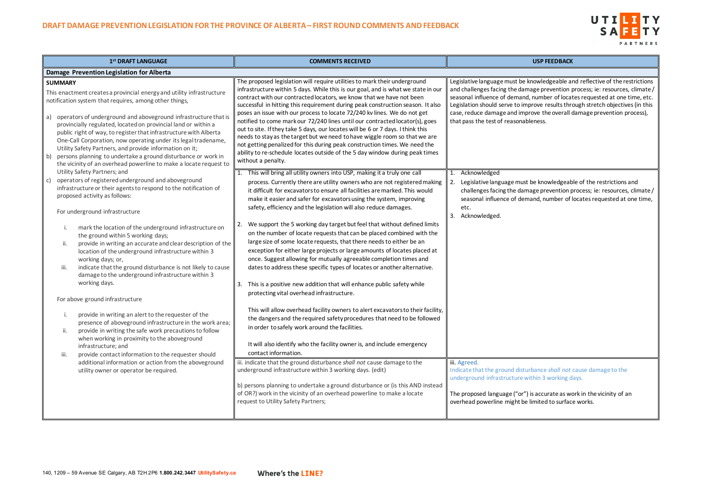### UTILITY  $S$  A FETY PARTNERS

nowledgeable and reflective of the restrictions age prevention process; ie: resources, climate / , number of locates requested at one time, etc. prove results through stretch objectives (in this rove the overall damage prevention process), leness.

be knowledgeable of the restrictions and age prevention process; ie: resources, climate / and, number of locates requested at one time,

rbance shall not cause damage to the ithin 3 working days.

is accurate as work in the vicinity of an limited to surface works.

| 1 <sup>st</sup> DRAFT LANGUAGE                                                                                                                                                                                                                                                                                                                                                                                                                                                                                                                                                                                                                                                                                                                                                                                                                                                                                                                                                                    | <b>COMMENTS RECEIVED</b>                                                                                                                                                                                                                                                                                                                                                                                                                                                                                                                                                                                                                                                                                                                                                                                                                                                                                                                                                                                                                                                                                                                                                                                                                                                                       | <b>USP FEEDBACK</b>                                                                                                                                                                                                                                                                    |
|---------------------------------------------------------------------------------------------------------------------------------------------------------------------------------------------------------------------------------------------------------------------------------------------------------------------------------------------------------------------------------------------------------------------------------------------------------------------------------------------------------------------------------------------------------------------------------------------------------------------------------------------------------------------------------------------------------------------------------------------------------------------------------------------------------------------------------------------------------------------------------------------------------------------------------------------------------------------------------------------------|------------------------------------------------------------------------------------------------------------------------------------------------------------------------------------------------------------------------------------------------------------------------------------------------------------------------------------------------------------------------------------------------------------------------------------------------------------------------------------------------------------------------------------------------------------------------------------------------------------------------------------------------------------------------------------------------------------------------------------------------------------------------------------------------------------------------------------------------------------------------------------------------------------------------------------------------------------------------------------------------------------------------------------------------------------------------------------------------------------------------------------------------------------------------------------------------------------------------------------------------------------------------------------------------|----------------------------------------------------------------------------------------------------------------------------------------------------------------------------------------------------------------------------------------------------------------------------------------|
| Damage Prevention Legislation for Alberta                                                                                                                                                                                                                                                                                                                                                                                                                                                                                                                                                                                                                                                                                                                                                                                                                                                                                                                                                         |                                                                                                                                                                                                                                                                                                                                                                                                                                                                                                                                                                                                                                                                                                                                                                                                                                                                                                                                                                                                                                                                                                                                                                                                                                                                                                |                                                                                                                                                                                                                                                                                        |
| <b>SUMMARY</b><br>This enactment creates a provincial energy and utility infrastructure<br>notification system that requires, among other things,<br>a) operators of underground and aboveground infrastructure that is<br>provincially regulated, located on provincial land or within a<br>public right of way, to register that infrastructure with Alberta<br>One-Call Corporation, now operating under its legal tradename,<br>Utility Safety Partners, and provide information on it;<br>persons planning to undertake a ground disturbance or work in<br>b)<br>the vicinity of an overhead powerline to make a locate request to                                                                                                                                                                                                                                                                                                                                                           | The proposed legislation will require utilities to mark their underground<br>infrastructure within 5 days. While this is our goal, and is what we state in our<br>contract with our contracted locators, we know that we have not been<br>successful in hitting this requirement during peak construction season. It also<br>poses an issue with our process to locate 72/240 kv lines. We do not get<br>notified to come mark our 72/240 lines until our contracted locator(s), goes<br>out to site. If they take 5 days, our locates will be 6 or 7 days. I think this<br>needs to stay as the target but we need to have wiggle room so that we are<br>not getting penalized for this during peak construction times. We need the<br>ability to re-schedule locates outside of the 5 day window during peak times<br>without a penalty.                                                                                                                                                                                                                                                                                                                                                                                                                                                     | Legislative language must be knowledgeable a<br>and challenges facing the damage prevention<br>seasonal influence of demand, number of loca<br>Legislation should serve to improve results thr<br>case, reduce damage and improve the overall<br>that pass the test of reasonableness. |
| Utility Safety Partners; and<br>operators of registered underground and aboveground<br>c)<br>infrastructure or their agents to respond to the notification of<br>proposed activity as follows:<br>For underground infrastructure<br>mark the location of the underground infrastructure on<br>the ground within 5 working days;<br>provide in writing an accurate and clear description of the<br>ii.<br>location of the underground infrastructure within 3<br>working days; or,<br>indicate that the ground disturbance is not likely to cause<br>iii.<br>damage to the underground infrastructure within 3<br>working days.<br>For above ground infrastructure<br>provide in writing an alert to the requester of the<br>L.<br>presence of aboveground infrastructure in the work area;<br>provide in writing the safe work precautions to follow<br>ii.<br>when working in proximity to the aboveground<br>infrastructure; and<br>provide contact information to the requester should<br>iii. | This will bring all utility owners into USP, making it a truly one call<br>process. Currently there are utility owners who are not registered making<br>it difficult for excavators to ensure all facilities are marked. This would<br>make it easier and safer for excavators using the system, improving<br>safety, efficiency and the legislation will also reduce damages.<br>We support the 5 working day target but feel that without defined limits<br>2.<br>on the number of locate requests that can be placed combined with the<br>large size of some locate requests, that there needs to either be an<br>exception for either large projects or large amounts of locates placed at<br>once. Suggest allowing for mutually agreeable completion times and<br>dates to address these specific types of locates or another alternative.<br>This is a positive new addition that will enhance public safety while<br>3.<br>protecting vital overhead infrastructure.<br>This will allow overhead facility owners to alert excavators to their facility,<br>the dangers and the required safety procedures that need to be followed<br>in order to safely work around the facilities.<br>It will also identify who the facility owner is, and include emergency<br>contact information. | Acknowledged<br>Legislative language must be knowledgeab<br>2.<br>challenges facing the damage prevention p<br>seasonal influence of demand, number of<br>etc.<br>3. Acknowledged.                                                                                                     |
| additional information or action from the aboveground<br>utility owner or operator be required.                                                                                                                                                                                                                                                                                                                                                                                                                                                                                                                                                                                                                                                                                                                                                                                                                                                                                                   | iii. indicate that the ground disturbance shall not cause damage to the<br>underground infrastructure within 3 working days. (edit)<br>b) persons planning to undertake a ground disturbance or (is this AND instead<br>of OR?) work in the vicinity of an overhead powerline to make a locate<br>request to Utility Safety Partners;                                                                                                                                                                                                                                                                                                                                                                                                                                                                                                                                                                                                                                                                                                                                                                                                                                                                                                                                                          | iii. Agreed.<br>Indicate that the ground disturbance shall not<br>underground infrastructure within 3 working d<br>The proposed language ("or") is accurate as we<br>overhead powerline might be limited to surfac                                                                     |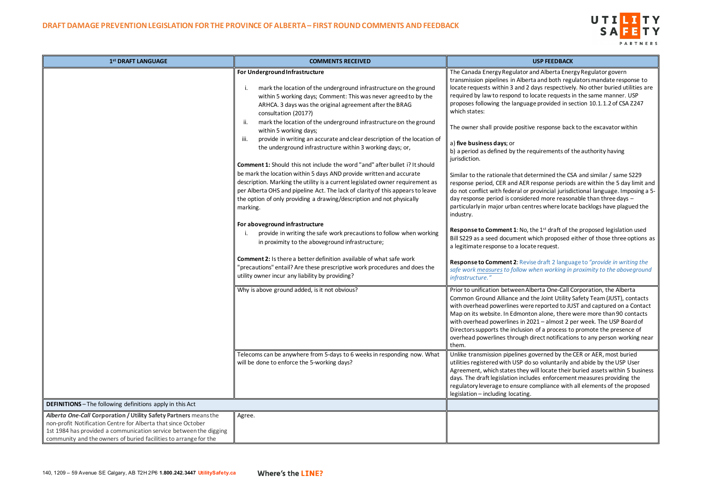# UTILITY **SA** PARTNERS

and Alberta Energy Regulator govern rta and both regulators mandate response to days respectively. No other buried utilities are locate requests in the same manner. USP ge provided in section 10.1.1.2 of CSA Z247

ve response back to the excavator within

equirements of the authority having

etermined the CSA and similar / same S229 response periods are within the 5 day limit and provincial jurisdictional language. Imposing a 5red more reasonable than three days – ntres where locate backlogs have plagued the

the 1<sup>st</sup> draft of the proposed legislation used which proposed either of those three options as ate request.

| 1 <sup>st</sup> DRAFT LANGUAGE                                                                                                                                                                                                                                             | <b>COMMENTS RECEIVED</b>                                                                                                                                                                                                                                                                                                                                                                                                                                                                                                                                                                                                                                                                                                                                                                                                                                                                                                                                                                                                                                                                                                                                                                                                                                                                                       | <b>USP FEEDBACK</b>                                                                                                                                                                                                                                                                                                                                                                                                                                                                                                                                                                                                                                                                                                                                                                                                                                                                                                                                             |
|----------------------------------------------------------------------------------------------------------------------------------------------------------------------------------------------------------------------------------------------------------------------------|----------------------------------------------------------------------------------------------------------------------------------------------------------------------------------------------------------------------------------------------------------------------------------------------------------------------------------------------------------------------------------------------------------------------------------------------------------------------------------------------------------------------------------------------------------------------------------------------------------------------------------------------------------------------------------------------------------------------------------------------------------------------------------------------------------------------------------------------------------------------------------------------------------------------------------------------------------------------------------------------------------------------------------------------------------------------------------------------------------------------------------------------------------------------------------------------------------------------------------------------------------------------------------------------------------------|-----------------------------------------------------------------------------------------------------------------------------------------------------------------------------------------------------------------------------------------------------------------------------------------------------------------------------------------------------------------------------------------------------------------------------------------------------------------------------------------------------------------------------------------------------------------------------------------------------------------------------------------------------------------------------------------------------------------------------------------------------------------------------------------------------------------------------------------------------------------------------------------------------------------------------------------------------------------|
|                                                                                                                                                                                                                                                                            | For Underground Infrastructure<br>mark the location of the underground infrastructure on the ground<br>within 5 working days; Comment: This was never agreed to by the<br>ARHCA. 3 days was the original agreement after the BRAG<br>consultation (2017?)<br>mark the location of the underground infrastructure on the ground<br>ii.<br>within 5 working days;<br>provide in writing an accurate and clear description of the location of<br>iii.<br>the underground infrastructure within 3 working days; or,<br><b>Comment 1:</b> Should this not include the word "and" after bullet i? It should<br>be mark the location within 5 days AND provide written and accurate<br>description. Marking the utility is a current legislated owner requirement as<br>per Alberta OHS and pipeline Act. The lack of clarity of this appears to leave<br>the option of only providing a drawing/description and not physically<br>marking.<br>For aboveground infrastructure<br>provide in writing the safe work precautions to follow when working<br>in proximity to the aboveground infrastructure;<br><b>Comment 2:</b> Is there a better definition available of what safe work<br>"precautions" entail? Are these prescriptive work procedures and does the<br>utility owner incur any liability by providing? | The Canada Energy Regulator and Alberta Ener<br>transmission pipelines in Alberta and both reg<br>locate requests within 3 and 2 days respective<br>required by law to respond to locate requests<br>proposes following the language provided in se<br>which states:<br>The owner shall provide positive response bac<br>a) five business days; or<br>b) a period as defined by the requirements of<br>jurisdiction.<br>Similar to the rationale that determined the CS<br>response period, CER and AER response period<br>do not conflict with federal or provincial jurisd<br>day response period is considered more reasor<br>particularly in major urban centres where loca<br>industry.<br>Response to Comment 1: No, the 1st draft of tl<br>Bill S229 as a seed document which proposed<br>a legitimate response to a locate request.<br>Response to Comment 2: Revise draft 2 langua<br>safe work measures to follow when working in<br>infrastructure." |
|                                                                                                                                                                                                                                                                            | Why is above ground added, is it not obvious?<br>Telecoms can be anywhere from 5-days to 6 weeks in responding now. What<br>will be done to enforce the 5-working days?                                                                                                                                                                                                                                                                                                                                                                                                                                                                                                                                                                                                                                                                                                                                                                                                                                                                                                                                                                                                                                                                                                                                        | Prior to unification between Alberta One-Call (<br>Common Ground Alliance and the Joint Utility<br>with overhead powerlines were reported to JU<br>Map on its website. In Edmonton alone, there<br>with overhead powerlines in 2021 - almost 2 p<br>Directors supports the inclusion of a process to<br>overhead powerlines through direct notificatio<br>them.<br>Unlike transmission pipelines governed by the<br>utilities registered with USP do so voluntarily a<br>Agreement, which states they will locate their<br>days. The draft legislation includes enforcemer<br>regulatory leverage to ensure compliance with<br>legislation - including locating.                                                                                                                                                                                                                                                                                                |
| <b>DEFINITIONS</b> - The following definitions apply in this Act                                                                                                                                                                                                           |                                                                                                                                                                                                                                                                                                                                                                                                                                                                                                                                                                                                                                                                                                                                                                                                                                                                                                                                                                                                                                                                                                                                                                                                                                                                                                                |                                                                                                                                                                                                                                                                                                                                                                                                                                                                                                                                                                                                                                                                                                                                                                                                                                                                                                                                                                 |
| Alberta One-Call Corporation / Utility Safety Partners means the<br>non-profit Notification Centre for Alberta that since October<br>1st 1984 has provided a communication service between the digging<br>community and the owners of buried facilities to arrange for the | Agree.                                                                                                                                                                                                                                                                                                                                                                                                                                                                                                                                                                                                                                                                                                                                                                                                                                                                                                                                                                                                                                                                                                                                                                                                                                                                                                         |                                                                                                                                                                                                                                                                                                                                                                                                                                                                                                                                                                                                                                                                                                                                                                                                                                                                                                                                                                 |

**Response to Comment 2**: Revise draft 2 language to *"provide in writing the safe work measuresto follow when working in proximity to the aboveground* 

Iberta One-Call Corporation, the Alberta I the Joint Utility Safety Team (JUST), contacts re reported to JUST and captured on a Contact ton alone, there were more than 90 contacts 2021 – almost 2 per week. The USP Board of In of a process to promote the presence of direct notifications to any person working near

governed by the CER or AER, most buried is o voluntarily and abide by the USP User will locate their buried assets within 5 business des enforcement measures providing the compliance with all elements of the proposed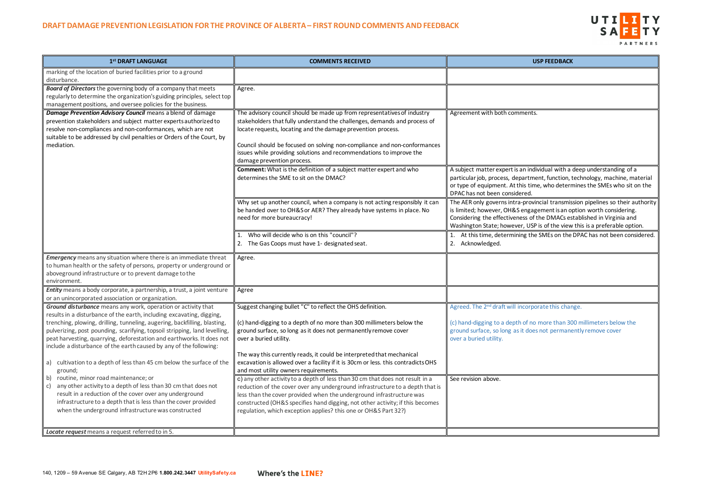

| 1 <sup>st</sup> DRAFT LANGUAGE                                                                                                                                                                                                                                                                         | <b>COMMENTS RECEIVED</b>                                                                                                                                                                                                                                                                                                                                                                              | <b>USP FEEDBACK</b>                                                                                                                                                                                             |
|--------------------------------------------------------------------------------------------------------------------------------------------------------------------------------------------------------------------------------------------------------------------------------------------------------|-------------------------------------------------------------------------------------------------------------------------------------------------------------------------------------------------------------------------------------------------------------------------------------------------------------------------------------------------------------------------------------------------------|-----------------------------------------------------------------------------------------------------------------------------------------------------------------------------------------------------------------|
| marking of the location of buried facilities prior to a ground<br>disturbance.                                                                                                                                                                                                                         |                                                                                                                                                                                                                                                                                                                                                                                                       |                                                                                                                                                                                                                 |
| <b>Board of Directors</b> the governing body of a company that meets<br>regularly to determine the organization's guiding principles, select top<br>management positions, and oversee policies for the business.                                                                                       | Agree.                                                                                                                                                                                                                                                                                                                                                                                                |                                                                                                                                                                                                                 |
| Damage Prevention Advisory Council means a blend of damage<br>prevention stakeholders and subject matter experts authorized to<br>resolve non-compliances and non-conformances, which are not<br>suitable to be addressed by civil penalties or Orders of the Court, by<br>mediation.                  | The advisory council should be made up from representatives of industry<br>stakeholders that fully understand the challenges, demands and process of<br>locate requests, locating and the damage prevention process.<br>Council should be focused on solving non-compliance and non-conformances<br>issues while providing solutions and recommendations to improve the<br>damage prevention process. | Agreement with both comments.                                                                                                                                                                                   |
|                                                                                                                                                                                                                                                                                                        | <b>Comment:</b> What is the definition of a subject matter expert and who<br>determines the SME to sit on the DMAC?                                                                                                                                                                                                                                                                                   | A subject matter expert is an individual with a dee<br>particular job, process, department, function, tecl<br>or type of equipment. At this time, who determine<br>DPAC has not been considered.                |
|                                                                                                                                                                                                                                                                                                        | Why set up another council, when a company is not acting responsibly it can<br>be handed over to OH&S or AER? They already have systems in place. No<br>need for more bureaucracy!                                                                                                                                                                                                                    | The AER only governs intra-provincial transmission<br>is limited; however, OH&S engagement is an optic<br>Considering the effectiveness of the DMACs estab<br>Washington State; however, USP is of the view thi |
|                                                                                                                                                                                                                                                                                                        | Who will decide who is on this "council"?<br>1.<br>The Gas Coops must have 1- designated seat.<br>2.                                                                                                                                                                                                                                                                                                  | 1. At this time, determining the SMEs on the DP,<br>2. Acknowledged.                                                                                                                                            |
| <b>Emergency</b> means any situation where there is an immediate threat<br>to human health or the safety of persons, property or underground or<br>aboveground infrastructure or to prevent damage to the<br>environment.                                                                              | Agree.                                                                                                                                                                                                                                                                                                                                                                                                |                                                                                                                                                                                                                 |
| Entity means a body corporate, a partnership, a trust, a joint venture<br>or an unincorporated association or organization.                                                                                                                                                                            | Agree                                                                                                                                                                                                                                                                                                                                                                                                 |                                                                                                                                                                                                                 |
| Ground disturbance means any work, operation or activity that<br>results in a disturbance of the earth, including excavating, digging,                                                                                                                                                                 | Suggest changing bullet "C" to reflect the OHS definition.                                                                                                                                                                                                                                                                                                                                            | Agreed. The 2 <sup>nd</sup> draft will incorporate this change.                                                                                                                                                 |
| trenching, plowing, drilling, tunneling, augering, backfilling, blasting,<br>pulverizing, post pounding, scarifying, topsoil stripping, land levelling,<br>peat harvesting, quarrying, deforestation and earthworks. It does not<br>include a disturbance of the earth caused by any of the following: | (c) hand-digging to a depth of no more than 300 millimeters below the<br>ground surface, so long as it does not permanently remove cover<br>over a buried utility.                                                                                                                                                                                                                                    | (c) hand-digging to a depth of no more than 300 n<br>ground surface, so long as it does not permanentl<br>over a buried utility.                                                                                |
| a) cultivation to a depth of less than 45 cm below the surface of the<br>ground;                                                                                                                                                                                                                       | The way this currently reads, it could be interpreted that mechanical<br>excavation is allowed over a facility if it is 30cm or less. this contradicts OHS<br>and most utility owners requirements.                                                                                                                                                                                                   |                                                                                                                                                                                                                 |
| routine, minor road maintenance; or<br>b)<br>any other activity to a depth of less than 30 cm that does not<br>c)<br>result in a reduction of the cover over any underground<br>infrastructure to a depth that is less than the cover provided<br>when the underground infrastructure was constructed  | c) any other activity to a depth of less than 30 cm that does not result in a<br>reduction of the cover over any underground infrastructure to a depth that is<br>less than the cover provided when the underground infrastructure was<br>constructed (OH&S specifies hand digging, not other activity; if this becomes<br>regulation, which exception applies? this one or OH&S Part 32?)            | See revision above.                                                                                                                                                                                             |
| Locate request means a request referred to in 5.                                                                                                                                                                                                                                                       |                                                                                                                                                                                                                                                                                                                                                                                                       |                                                                                                                                                                                                                 |

| <b>USP FEEDBACK</b>                                                                                                                                                                                                                                                                                             |
|-----------------------------------------------------------------------------------------------------------------------------------------------------------------------------------------------------------------------------------------------------------------------------------------------------------------|
|                                                                                                                                                                                                                                                                                                                 |
|                                                                                                                                                                                                                                                                                                                 |
| Agreement with both comments.                                                                                                                                                                                                                                                                                   |
|                                                                                                                                                                                                                                                                                                                 |
|                                                                                                                                                                                                                                                                                                                 |
| A subject matter expert is an individual with a deep understanding of a<br>particular job, process, department, function, technology, machine, material<br>or type of equipment. At this time, who determines the SMEs who sit on the<br>DPAC has not been considered.                                          |
| The AER only governs intra-provincial transmission pipelines so their authority<br>is limited; however, OH&S engagement is an option worth considering.<br>Considering the effectiveness of the DMACs established in Virginia and<br>Washington State; however, USP is of the view this is a preferable option. |
| At this time, determining the SMEs on the DPAC has not been considered.<br>1.<br>Acknowledged.<br>2.                                                                                                                                                                                                            |
|                                                                                                                                                                                                                                                                                                                 |
|                                                                                                                                                                                                                                                                                                                 |
|                                                                                                                                                                                                                                                                                                                 |
| Agreed. The 2 <sup>nd</sup> draft will incorporate this change.                                                                                                                                                                                                                                                 |
| (c) hand-digging to a depth of no more than 300 millimeters below the<br>ground surface, so long as it does not permanently remove cover<br>over a buried utility.                                                                                                                                              |
|                                                                                                                                                                                                                                                                                                                 |
| See revision above.                                                                                                                                                                                                                                                                                             |
|                                                                                                                                                                                                                                                                                                                 |
|                                                                                                                                                                                                                                                                                                                 |
|                                                                                                                                                                                                                                                                                                                 |
|                                                                                                                                                                                                                                                                                                                 |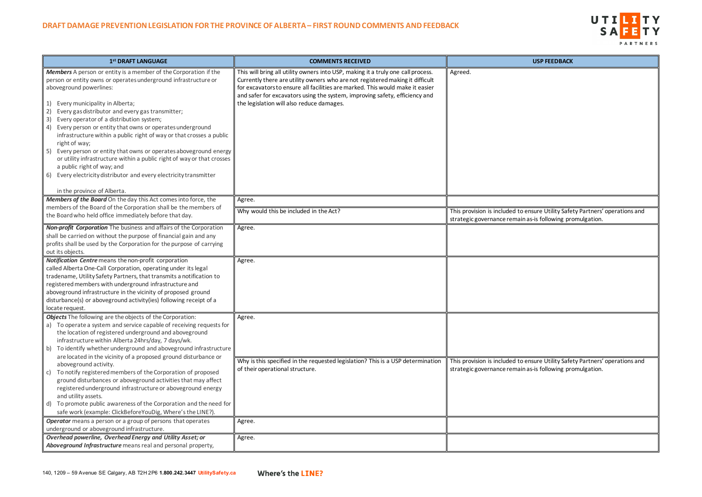

msure Utility Safety Partners' operations and as-is following promulgation.

Insure Utility Safety Partners' operations and as-is following promulgation.

| 1st DRAFT LANGUAGE                                                                                                                                                                                                                                                                                                                                                                                                                                                                                                                                                                                                                                                                                                                                                                                                                                                    | <b>COMMENTS RECEIVED</b>                                                                                                                                                                                                                                                                                                                                                       | <b>USP FEEDBACK</b>                                                                                  |
|-----------------------------------------------------------------------------------------------------------------------------------------------------------------------------------------------------------------------------------------------------------------------------------------------------------------------------------------------------------------------------------------------------------------------------------------------------------------------------------------------------------------------------------------------------------------------------------------------------------------------------------------------------------------------------------------------------------------------------------------------------------------------------------------------------------------------------------------------------------------------|--------------------------------------------------------------------------------------------------------------------------------------------------------------------------------------------------------------------------------------------------------------------------------------------------------------------------------------------------------------------------------|------------------------------------------------------------------------------------------------------|
| <b>Members</b> A person or entity is a member of the Corporation if the<br>person or entity owns or operates underground infrastructure or<br>aboveground powerlines:<br>Every municipality in Alberta;<br>1)<br>Every gas distributor and every gas transmitter;<br>2)<br>Every operator of a distribution system;<br>3)<br>4) Every person or entity that owns or operates underground<br>infrastructure within a public right of way or that crosses a public<br>right of way;<br>Every person or entity that owns or operates aboveground energy<br>5)<br>or utility infrastructure within a public right of way or that crosses<br>a public right of way; and<br>6) Every electricity distributor and every electricity transmitter                                                                                                                              | This will bring all utility owners into USP, making it a truly one call process.<br>Currently there are utility owners who are not registered making it difficult<br>for excavators to ensure all facilities are marked. This would make it easier<br>and safer for excavators using the system, improving safety, efficiency and<br>the legislation will also reduce damages. | Agreed.                                                                                              |
| in the province of Alberta.                                                                                                                                                                                                                                                                                                                                                                                                                                                                                                                                                                                                                                                                                                                                                                                                                                           |                                                                                                                                                                                                                                                                                                                                                                                |                                                                                                      |
| Members of the Board On the day this Act comes into force, the                                                                                                                                                                                                                                                                                                                                                                                                                                                                                                                                                                                                                                                                                                                                                                                                        | Agree.                                                                                                                                                                                                                                                                                                                                                                         |                                                                                                      |
| members of the Board of the Corporation shall be the members of<br>the Board who held office immediately before that day.                                                                                                                                                                                                                                                                                                                                                                                                                                                                                                                                                                                                                                                                                                                                             | Why would this be included in the Act?                                                                                                                                                                                                                                                                                                                                         | This provision is included to ensure Utility Safe<br>strategic governance remain as-is following pro |
| <b>Non-profit Corporation</b> The business and affairs of the Corporation<br>shall be carried on without the purpose of financial gain and any<br>profits shall be used by the Corporation for the purpose of carrying<br>out its objects.                                                                                                                                                                                                                                                                                                                                                                                                                                                                                                                                                                                                                            | Agree.                                                                                                                                                                                                                                                                                                                                                                         |                                                                                                      |
| Notification Centre means the non-profit corporation<br>called Alberta One-Call Corporation, operating under its legal<br>tradename, Utility Safety Partners, that transmits a notification to<br>registered members with underground infrastructure and<br>aboveground infrastructure in the vicinity of proposed ground<br>disturbance(s) or aboveground activity(ies) following receipt of a<br>locate request.                                                                                                                                                                                                                                                                                                                                                                                                                                                    | Agree.                                                                                                                                                                                                                                                                                                                                                                         |                                                                                                      |
| <b>Objects</b> The following are the objects of the Corporation:<br>a) To operate a system and service capable of receiving requests for<br>the location of registered underground and aboveground<br>infrastructure within Alberta 24hrs/day, 7 days/wk.<br>To identify whether underground and aboveground infrastructure<br>b)<br>are located in the vicinity of a proposed ground disturbance or<br>aboveground activity.<br>To notify registered members of the Corporation of proposed<br>  C)<br>ground disturbances or aboveground activities that may affect<br>registered underground infrastructure or aboveground energy<br>and utility assets.<br>d) To promote public awareness of the Corporation and the need for<br>safe work (example: ClickBeforeYouDig, Where's the LINE?).<br><b>Operator</b> means a person or a group of persons that operates | Agree.<br>Why is this specified in the requested legislation? This is a USP determination<br>of their operational structure.                                                                                                                                                                                                                                                   | This provision is included to ensure Utility Safe<br>strategic governance remain as-is following pro |
| underground or aboveground infrastructure.                                                                                                                                                                                                                                                                                                                                                                                                                                                                                                                                                                                                                                                                                                                                                                                                                            | Agree.                                                                                                                                                                                                                                                                                                                                                                         |                                                                                                      |
| Overhead powerline, Overhead Energy and Utility Asset; or<br>Aboveground Infrastructure means real and personal property,                                                                                                                                                                                                                                                                                                                                                                                                                                                                                                                                                                                                                                                                                                                                             | Agree.                                                                                                                                                                                                                                                                                                                                                                         |                                                                                                      |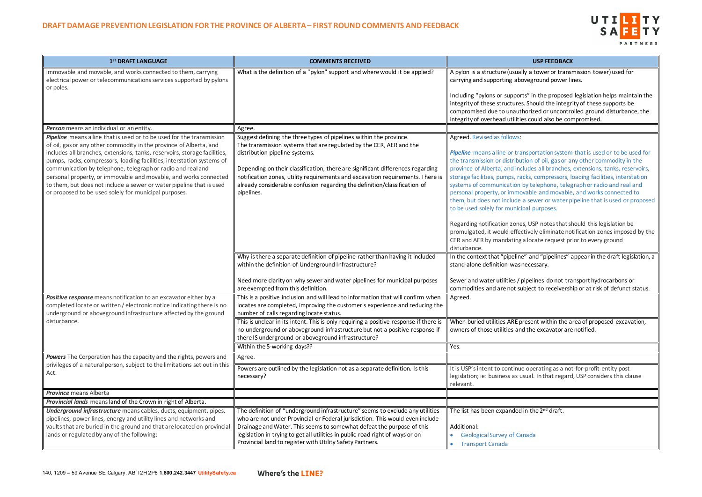# UTILITY SAFETY PARTNERS

a tower or transmission tower) used for eground power lines.

In the proposed legislation helps maintain the Should the integrity of these supports be rized or uncontrolled ground disturbance, the could also be compromised.

portation system that is used or to be used for on of oil, gas or any other commodity in the des all branches, extensions, tanks, reservoirs, s, compressors, loading facilities, interstation telephone, telegraph or radio and real and ble and movable, and works connected to sewer or water pipeline that is used or proposed l purposes.

USP notes that should this legislation be vely eliminate notification zones imposed by the locate request prior to every ground

and "pipelines" appear in the draft legislation, a cessary.

elines do not transport hydrocarbons or ect to receivership or at risk of defunct status.

sent within the area of proposed excavation, he excavator are notified.

pperating as a not-for-profit entity post al. In that regard, USP considers this clause

| 1st DRAFT LANGUAGE                                                                                                                                                                                                                                                                                                                                                                                                                                                                                                                                                     | <b>COMMENTS RECEIVED</b>                                                                                                                                                                                                                                                                                                                                                                                                                   | <b>USP FEEDBACK</b>                                                                                                                                                                                                                                                                                                                                                                                                                                                                                                                         |
|------------------------------------------------------------------------------------------------------------------------------------------------------------------------------------------------------------------------------------------------------------------------------------------------------------------------------------------------------------------------------------------------------------------------------------------------------------------------------------------------------------------------------------------------------------------------|--------------------------------------------------------------------------------------------------------------------------------------------------------------------------------------------------------------------------------------------------------------------------------------------------------------------------------------------------------------------------------------------------------------------------------------------|---------------------------------------------------------------------------------------------------------------------------------------------------------------------------------------------------------------------------------------------------------------------------------------------------------------------------------------------------------------------------------------------------------------------------------------------------------------------------------------------------------------------------------------------|
| immovable and movable, and works connected to them, carrying<br>electrical power or telecommunications services supported by pylons<br>or poles.                                                                                                                                                                                                                                                                                                                                                                                                                       | What is the definition of a "pylon" support and where would it be applied?                                                                                                                                                                                                                                                                                                                                                                 | A pylon is a structure (usually a tower or trans<br>carrying and supporting aboveground power li                                                                                                                                                                                                                                                                                                                                                                                                                                            |
|                                                                                                                                                                                                                                                                                                                                                                                                                                                                                                                                                                        |                                                                                                                                                                                                                                                                                                                                                                                                                                            | Including "pylons or supports" in the proposed<br>integrity of these structures. Should the integr<br>compromised due to unauthorized or uncontro                                                                                                                                                                                                                                                                                                                                                                                           |
|                                                                                                                                                                                                                                                                                                                                                                                                                                                                                                                                                                        |                                                                                                                                                                                                                                                                                                                                                                                                                                            | integrity of overhead utilities could also be cor                                                                                                                                                                                                                                                                                                                                                                                                                                                                                           |
| Person means an individual or an entity.                                                                                                                                                                                                                                                                                                                                                                                                                                                                                                                               | Agree.                                                                                                                                                                                                                                                                                                                                                                                                                                     |                                                                                                                                                                                                                                                                                                                                                                                                                                                                                                                                             |
| Pipeline means a line that is used or to be used for the transmission<br>of oil, gas or any other commodity in the province of Alberta, and<br>includes all branches, extensions, tanks, reservoirs, storage facilities,<br>pumps, racks, compressors, loading facilities, interstation systems of<br>communication by telephone, telegraph or radio and real and<br>personal property, or immovable and movable, and works connected<br>to them, but does not include a sewer or water pipeline that is used<br>or proposed to be used solely for municipal purposes. | Suggest defining the three types of pipelines within the province.<br>The transmission systems that are regulated by the CER, AER and the<br>distribution pipeline systems.<br>Depending on their classification, there are significant differences regarding<br>notification zones, utility requirements and excavation requirements. There is<br>already considerable confusion regarding the definition/classification of<br>pipelines. | Agreed. Revised as follows:<br>Pipeline means a line or transportation system<br>the transmission or distribution of oil, gas or a<br>province of Alberta, and includes all branches,<br>storage facilities, pumps, racks, compressors, I<br>systems of communication by telephone, teleg<br>personal property, or immovable and movable<br>them, but does not include a sewer or water p<br>to be used solely for municipal purposes.<br>Regarding notification zones, USP notes that sl<br>promulgated, it would effectively eliminate no |
|                                                                                                                                                                                                                                                                                                                                                                                                                                                                                                                                                                        | Why is there a separate definition of pipeline rather than having it included<br>within the definition of Underground Infrastructure?                                                                                                                                                                                                                                                                                                      | CER and AER by mandating a locate request pr<br>disturbance.<br>In the context that "pipeline" and "pipelines" a<br>stand-alone definition was necessary.                                                                                                                                                                                                                                                                                                                                                                                   |
|                                                                                                                                                                                                                                                                                                                                                                                                                                                                                                                                                                        | Need more clarity on why sewer and water pipelines for municipal purposes<br>are exempted from this definition.                                                                                                                                                                                                                                                                                                                            | Sewer and water utilities / pipelines do not tra<br>commodities and are not subject to receiversh                                                                                                                                                                                                                                                                                                                                                                                                                                           |
| Positive response means notification to an excavator either by a<br>completed locate or written/electronic notice indicating there is no<br>underground or aboveground infrastructure affected by the ground                                                                                                                                                                                                                                                                                                                                                           | This is a positive inclusion and will lead to information that will confirm when<br>locates are completed, improving the customer's experience and reducing the<br>number of calls regarding locate status.                                                                                                                                                                                                                                | Agreed.                                                                                                                                                                                                                                                                                                                                                                                                                                                                                                                                     |
| disturbance.                                                                                                                                                                                                                                                                                                                                                                                                                                                                                                                                                           | This is unclear in its intent. This is only requiring a positive response if there is<br>no underground or aboveground infrastructure but not a positive response if<br>there IS underground or aboveground infrastructure?                                                                                                                                                                                                                | When buried utilities ARE present within the a<br>owners of those utilities and the excavator are                                                                                                                                                                                                                                                                                                                                                                                                                                           |
|                                                                                                                                                                                                                                                                                                                                                                                                                                                                                                                                                                        | Within the 5-working days??                                                                                                                                                                                                                                                                                                                                                                                                                | Yes.                                                                                                                                                                                                                                                                                                                                                                                                                                                                                                                                        |
| Powers The Corporation has the capacity and the rights, powers and                                                                                                                                                                                                                                                                                                                                                                                                                                                                                                     | Agree.                                                                                                                                                                                                                                                                                                                                                                                                                                     |                                                                                                                                                                                                                                                                                                                                                                                                                                                                                                                                             |
| privileges of a natural person, subject to the limitations set out in this<br>Act.                                                                                                                                                                                                                                                                                                                                                                                                                                                                                     | Powers are outlined by the legislation not as a separate definition. Is this<br>necessary?                                                                                                                                                                                                                                                                                                                                                 | It is USP's intent to continue operating as a not<br>legislation; ie: business as usual. In that regard<br>relevant.                                                                                                                                                                                                                                                                                                                                                                                                                        |
| <b>Province</b> means Alberta                                                                                                                                                                                                                                                                                                                                                                                                                                                                                                                                          |                                                                                                                                                                                                                                                                                                                                                                                                                                            |                                                                                                                                                                                                                                                                                                                                                                                                                                                                                                                                             |
| Provincial lands means land of the Crown in right of Alberta.                                                                                                                                                                                                                                                                                                                                                                                                                                                                                                          |                                                                                                                                                                                                                                                                                                                                                                                                                                            |                                                                                                                                                                                                                                                                                                                                                                                                                                                                                                                                             |
| Underground infrastructure means cables, ducts, equipment, pipes,<br>pipelines, power lines, energy and utility lines and networks and<br>vaults that are buried in the ground and that are located on provincial<br>lands or regulated by any of the following:                                                                                                                                                                                                                                                                                                       | The definition of "underground infrastructure" seems to exclude any utilities<br>who are not under Provincial or Federal jurisdiction. This would even include<br>Drainage and Water. This seems to somewhat defeat the purpose of this<br>legislation in trying to get all utilities in public road right of ways or on<br>Provincial land to register with Utility Safety Partners.                                                      | The list has been expanded in the 2 <sup>nd</sup> draft.<br>Additional:<br><b>Geological Survey of Canada</b><br><b>Transport Canada</b>                                                                                                                                                                                                                                                                                                                                                                                                    |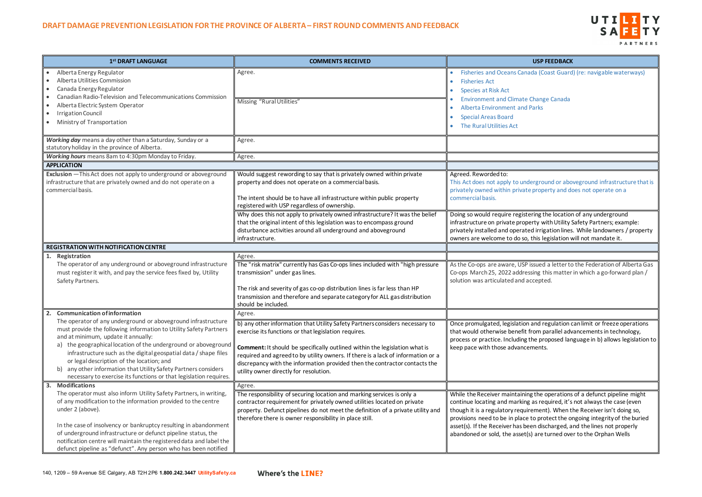# UTILITY SAFETY PARTNERS

ada (Coast Guard) (re: navigable waterways)

lerground or aboveground infrastructure that is property and does not operate on a

ering the location of any underground erty with Utility Safety Partners; example: ed irrigation lines. While landowners / property this legislation will not mandate it.

issued a letter to the Federation of Alberta Gas ssing this matter in which a go-forward plan / ccepted.

and regulation can limit or freeze operations from parallel advancements in technology, the proposed language in b) allows legislation to ments.

ng the operations of a defunct pipeline might as required, it's not always the case (even rement). When the Receiver isn't doing so, to protect the ongoing integrity of the buried een discharged, and the lines not properly s) are turned over to the Orphan Wells

| 1st DRAFT LANGUAGE                                                                                                                                                                                                                                                                                                         | <b>COMMENTS RECEIVED</b>                                                                                                                                                                                                                                                                        | <b>USP FEEDBACK</b>                                                                                                                                                                                         |
|----------------------------------------------------------------------------------------------------------------------------------------------------------------------------------------------------------------------------------------------------------------------------------------------------------------------------|-------------------------------------------------------------------------------------------------------------------------------------------------------------------------------------------------------------------------------------------------------------------------------------------------|-------------------------------------------------------------------------------------------------------------------------------------------------------------------------------------------------------------|
| Alberta Energy Regulator<br>Alberta Utilities Commission<br>$\bullet$<br>Canada Energy Regulator<br>$\bullet$<br>Canadian Radio-Television and Telecommunications Commission<br>$\bullet$                                                                                                                                  | Agree.                                                                                                                                                                                                                                                                                          | <b>Fisheries and Oceans Canada (Coast Guard</b><br><b>Fisheries Act</b><br><b>Species at Risk Act</b>                                                                                                       |
| Alberta Electric System Operator<br>$\bullet$<br><b>Irrigation Council</b><br>$\bullet$<br>Ministry of Transportation<br>$\bullet$                                                                                                                                                                                         | Missing "Rural Utilities"                                                                                                                                                                                                                                                                       | <b>Environment and Climate Change Canada</b><br><b>Alberta Environment and Parks</b><br><b>Special Areas Board</b><br>The Rural Utilities Act                                                               |
| Working day means a day other than a Saturday, Sunday or a<br>statutory holiday in the province of Alberta.                                                                                                                                                                                                                | Agree.                                                                                                                                                                                                                                                                                          |                                                                                                                                                                                                             |
| Working hours means 8am to 4:30pm Monday to Friday.                                                                                                                                                                                                                                                                        | Agree.                                                                                                                                                                                                                                                                                          |                                                                                                                                                                                                             |
| <b>APPLICATION</b>                                                                                                                                                                                                                                                                                                         |                                                                                                                                                                                                                                                                                                 |                                                                                                                                                                                                             |
| Exclusion - This Act does not apply to underground or aboveground<br>infrastructure that are privately owned and do not operate on a<br>commercial basis.                                                                                                                                                                  | Would suggest rewording to say that is privately owned within private<br>property and does not operate on a commercial basis.<br>The intent should be to have all infrastructure within public property<br>registered with USP regardless of ownership.                                         | Agreed. Reworded to:<br>This Act does not apply to underground or abo<br>privately owned within private property and de<br>commercial basis.                                                                |
|                                                                                                                                                                                                                                                                                                                            | Why does this not apply to privately owned infrastructure? It was the belief<br>that the original intent of this legislation was to encompass ground<br>disturbance activities around all underground and aboveground<br>infrastructure.                                                        | Doing so would require registering the location<br>infrastructure on private property with Utility!<br>privately installed and operated irrigation lines<br>owners are welcome to do so, this legislation v |
| <b>REGISTRATION WITH NOTIFICATION CENTRE</b>                                                                                                                                                                                                                                                                               |                                                                                                                                                                                                                                                                                                 |                                                                                                                                                                                                             |
| Registration<br>1.                                                                                                                                                                                                                                                                                                         | Agree.                                                                                                                                                                                                                                                                                          |                                                                                                                                                                                                             |
| The operator of any underground or aboveground infrastructure<br>must register it with, and pay the service fees fixed by, Utility<br>Safety Partners.                                                                                                                                                                     | The "risk matrix" currently has Gas Co-ops lines included with "high pressure<br>transmission" under gas lines.<br>The risk and severity of gas co-op distribution lines is far less than HP                                                                                                    | As the Co-ops are aware, USP issued a letter to<br>Co-ops March 25, 2022 addressing this matter<br>solution was articulated and accepted.                                                                   |
|                                                                                                                                                                                                                                                                                                                            | transmission and therefore and separate category for ALL gas distribution<br>should be included.                                                                                                                                                                                                |                                                                                                                                                                                                             |
| 2. Communication of information                                                                                                                                                                                                                                                                                            | Agree.                                                                                                                                                                                                                                                                                          |                                                                                                                                                                                                             |
| The operator of any underground or aboveground infrastructure<br>must provide the following information to Utility Safety Partners<br>and at minimum, update it annually:                                                                                                                                                  | b) any other information that Utility Safety Partners considers necessary to<br>exercise its functions or that legislation requires.                                                                                                                                                            | Once promulgated, legislation and regulation of<br>that would otherwise benefit from parallel adv<br>process or practice. Including the proposed lar                                                        |
| a) the geographical location of the underground or aboveground<br>infrastructure such as the digital geospatial data / shape files<br>or legal description of the location; and<br>any other information that Utility Safety Partners considers<br>b)<br>necessary to exercise its functions or that legislation requires. | <b>Comment:</b> It should be specifically outlined within the legislation what is<br>required and agreed to by utility owners. If there is a lack of information or a<br>discrepancy with the information provided then the contractor contacts the<br>utility owner directly for resolution.   | keep pace with those advancements.                                                                                                                                                                          |
| <b>Modifications</b><br>3.                                                                                                                                                                                                                                                                                                 | Agree.                                                                                                                                                                                                                                                                                          |                                                                                                                                                                                                             |
| The operator must also inform Utility Safety Partners, in writing,<br>of any modification to the information provided to the centre<br>under 2 (above).                                                                                                                                                                    | The responsibility of securing location and marking services is only a<br>contractor requirement for privately owned utilities located on private<br>property. Defunct pipelines do not meet the definition of a private utility and<br>therefore there is owner responsibility in place still. | While the Receiver maintaining the operations<br>continue locating and marking as required, it's<br>though it is a regulatory requirement). When t<br>provisions need to be in place to protect the o       |
| In the case of insolvency or bankruptcy resulting in abandonment<br>of underground infrastructure or defunct pipeline status, the<br>notification centre will maintain the registered data and label the<br>defunct pipeline as "defunct". Any person who has been notified                                                |                                                                                                                                                                                                                                                                                                 | asset(s). If the Receiver has been discharged, a<br>abandoned or sold, the asset(s) are turned ove                                                                                                          |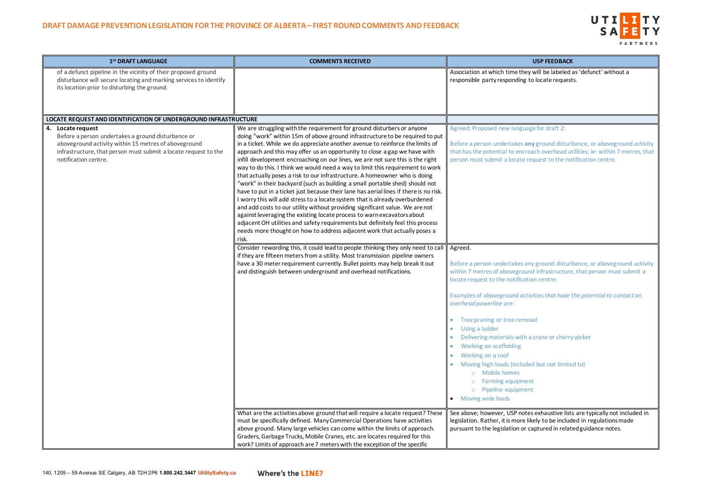

will be labeled as 'defunct' without a to locate requests.

ny ground disturbance, or aboveground activity oach overhead utilities; ie: within 7 metres, that request to the notification centre.

ny ground disturbance, or aboveground activity ind infrastructure, that person must submit a tion centre.

Examples that have the potential to contact an

a crane or cherry-picker

ed but not limited to)

es exhaustive lists are typically not included in likely to be included in regulations made captured in related guidance notes.

| 1st DRAFT LANGUAGE                                                                                                                                                                                                         | <b>COMMENTS RECEIVED</b>                                                                                                                                                                                                                                                                                                                                                                                                                                                                                                                                                                                                                                                                                                                                                                                                                                                                                                                                                                                                                                                                                                                                | <b>USP FEEDBACK</b>                                                                                                                                                                                                                                                                                                                                                                                                                                                                                                           |
|----------------------------------------------------------------------------------------------------------------------------------------------------------------------------------------------------------------------------|---------------------------------------------------------------------------------------------------------------------------------------------------------------------------------------------------------------------------------------------------------------------------------------------------------------------------------------------------------------------------------------------------------------------------------------------------------------------------------------------------------------------------------------------------------------------------------------------------------------------------------------------------------------------------------------------------------------------------------------------------------------------------------------------------------------------------------------------------------------------------------------------------------------------------------------------------------------------------------------------------------------------------------------------------------------------------------------------------------------------------------------------------------|-------------------------------------------------------------------------------------------------------------------------------------------------------------------------------------------------------------------------------------------------------------------------------------------------------------------------------------------------------------------------------------------------------------------------------------------------------------------------------------------------------------------------------|
| of a defunct pipeline in the vicinity of their proposed ground<br>disturbance will secure locating and marking services to identify<br>its location prior to disturbing the ground.                                        |                                                                                                                                                                                                                                                                                                                                                                                                                                                                                                                                                                                                                                                                                                                                                                                                                                                                                                                                                                                                                                                                                                                                                         | Association at which time they will be labeled<br>responsible party responding to locate request                                                                                                                                                                                                                                                                                                                                                                                                                              |
| LOCATE REQUEST AND IDENTIFICATION OF UNDERGROUND INFRASTRUCTURE                                                                                                                                                            |                                                                                                                                                                                                                                                                                                                                                                                                                                                                                                                                                                                                                                                                                                                                                                                                                                                                                                                                                                                                                                                                                                                                                         |                                                                                                                                                                                                                                                                                                                                                                                                                                                                                                                               |
| 4. Locate request<br>Before a person undertakes a ground disturbance or<br>aboveground activity within 15 metres of aboveground<br>infrastructure, that person must submit a locate request to the<br>notification centre. | We are struggling with the requirement for ground disturbers or anyone<br>doing "work" within 15m of above ground infrastructure to be required to put<br>in a ticket. While we do appreciate another avenue to reinforce the limits of<br>approach and this may offer us an opportunity to close a gap we have with<br>infill development encroaching on our lines, we are not sure this is the right<br>way to do this. I think we would need a way to limit this requirement to work<br>that actually poses a risk to our infrastructure. A homeowner who is doing<br>"work" in their backyard (such as building a small portable shed) should not<br>have to put in a ticket just because their lane has aerial lines if there is no risk.<br>I worry this will add stress to a locate system that is already overburdened<br>and add costs to our utility without providing significant value. We are not<br>against leveraging the existing locate process to warn excavators about<br>adjacent OH utilities and safety requirements but definitely feel this process<br>needs more thought on how to address adjacent work that actually poses a | Agreed: Proposed new language for draft 2:<br>Before a person undertakes any ground disturl<br>that has the potential to encroach overhead uf<br>person must submit a locate request to the no                                                                                                                                                                                                                                                                                                                                |
|                                                                                                                                                                                                                            | risk.<br>Consider rewording this, it could lead to people thinking they only need to call<br>if they are fifteen meters from a utility. Most transmission pipeline owners<br>have a 30 meter requirement currently. Bullet points may help break it out<br>and distinguish between underground and overhead notifications.                                                                                                                                                                                                                                                                                                                                                                                                                                                                                                                                                                                                                                                                                                                                                                                                                              | Agreed.<br>Before a person undertakes any ground disturl<br>within 7 metres of aboveground infrastructure<br>locate request to the notification centre.<br>Examples of aboveground activities that have<br>overhead powerline are:<br>Tree pruning or tree removal<br>Using a ladder<br>Delivering materials with a crane or cherry<br>Working on scaffolding<br>Working on a roof<br>Moving high loads (included but not limite<br>o Mobile homes<br><b>Farming equipment</b><br>o Pipeline equipment<br>• Moving wide loads |
|                                                                                                                                                                                                                            | What are the activities above ground that will require a locate request? These<br>must be specifically defined. Many Commercial Operations have activities<br>above ground. Many large vehicles can come within the limits of approach.<br>Graders, Garbage Trucks, Mobile Cranes, etc. are locates required for this<br>work? Limits of approach are 7 meters with the exception of the specific                                                                                                                                                                                                                                                                                                                                                                                                                                                                                                                                                                                                                                                                                                                                                       | See above; however, USP notes exhaustive list<br>legislation. Rather, it is more likely to be includ<br>pursuant to the legislation or captured in relat                                                                                                                                                                                                                                                                                                                                                                      |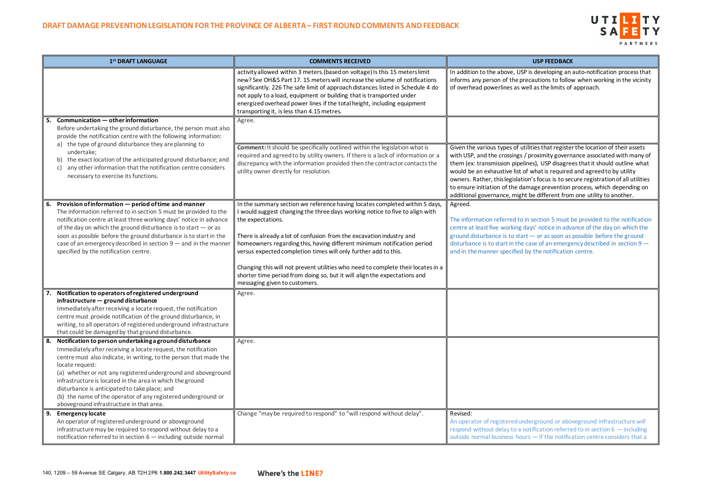# UTILITY SAFETY PARTNERS

is developing an auto-notification process that cautions to follow when working in the vicinity ell as the limits of approach.

lities that register the location of their assets proximity governance associated with many of es), USP disagrees that it should outline what what is required and agreed to by utility n's focus is to secure registration of all utilities nage prevention process, which depending on be different from one utility to another.

I section 5 must be provided to the notification ays' notice in advance of the day on which the  $-$  or as soon as possible before the ground ase of an emergency described in section  $9$   $$ the notification centre.

erground or aboveground infrastructure *will* tification referred to in section  $6$  — including  $-$  if the notification centre considers that a

| 1st DRAFT LANGUAGE                                                                                                                                                                                                                                                                                                                                                                                                                                                                                                   | <b>COMMENTS RECEIVED</b>                                                                                                                                                                                                                                                                                                                                                                                                                                                                                                                                                                                 | <b>USP FEEDBACK</b>                                                                                                                                                                                                                                                                                                                                               |
|----------------------------------------------------------------------------------------------------------------------------------------------------------------------------------------------------------------------------------------------------------------------------------------------------------------------------------------------------------------------------------------------------------------------------------------------------------------------------------------------------------------------|----------------------------------------------------------------------------------------------------------------------------------------------------------------------------------------------------------------------------------------------------------------------------------------------------------------------------------------------------------------------------------------------------------------------------------------------------------------------------------------------------------------------------------------------------------------------------------------------------------|-------------------------------------------------------------------------------------------------------------------------------------------------------------------------------------------------------------------------------------------------------------------------------------------------------------------------------------------------------------------|
|                                                                                                                                                                                                                                                                                                                                                                                                                                                                                                                      | activity allowed within 3 meters. (based on voltage) Is this 15 meters limit<br>new? See OH&S Part 17. 15 meters will increase the volume of notifications<br>significantly. 226 The safe limit of approach distances listed in Schedule 4 do<br>not apply to a load, equipment or building that is transported under<br>energized overhead power lines if the total height, including equipment<br>transporting it, is less than 4.15 metres.                                                                                                                                                           | In addition to the above, USP is developing an<br>informs any person of the precautions to follow<br>of overhead powerlines as well as the limits of                                                                                                                                                                                                              |
| Communication - other information<br>Before undertaking the ground disturbance, the person must also<br>provide the notification centre with the following information:<br>the type of ground disturbance they are planning to<br>a)<br>undertake;<br>the exact location of the anticipated ground disturbance; and<br>any other information that the notification centre considers<br>C)<br>necessary to exercise its functions.                                                                                    | Agree.<br><b>Comment:</b> It should be specifically outlined within the legislation what is<br>required and agreed to by utility owners. If there is a lack of information or a<br>discrepancy with the information provided then the contractor contacts the<br>utility owner directly for resolution.                                                                                                                                                                                                                                                                                                  | Given the various types of utilities that registe<br>with USP, and the crossings / proximity govern<br>them (ex: transmission pipelines), USP disagre<br>would be an exhaustive list of what is required<br>owners. Rather, this legislation's focus is to see<br>to ensure initiation of the damage prevention<br>additional governance, might be different fron |
| Provision of information - period of time and manner<br>6.<br>The information referred to in section 5 must be provided to the<br>notification centre at least three working days' notice in advance<br>of the day on which the ground disturbance is to start - or as<br>soon as possible before the ground disturbance is to start in the<br>case of an emergency described in section $9$ – and in the manner<br>specified by the notification centre.                                                            | In the summary section we reference having locates completed within 5 days,<br>I would suggest changing the three days working notice to five to align with<br>the expectations.<br>There is already a lot of confusion from the excavation industry and<br>homeowners regarding this, having different minimum notification period<br>versus expected completion times will only further add to this.<br>Changing this will not prevent utilities who need to complete their locates in a<br>shorter time period from doing so, but it will align the expectations and<br>messaging given to customers. | Agreed.<br>The information referred to in section 5 must I<br>centre at least five working days' notice in adv<br>ground disturbance is to start - or as soon as<br>disturbance is to start in the case of an emerge<br>and in the manner specified by the notification                                                                                           |
| Notification to operators of registered underground<br>infrastructure - ground disturbance<br>Immediately after receiving a locate request, the notification<br>centre must provide notification of the ground disturbance, in<br>writing, to all operators of registered underground infrastructure<br>that could be damaged by that ground disturbance.                                                                                                                                                            | Agree.                                                                                                                                                                                                                                                                                                                                                                                                                                                                                                                                                                                                   |                                                                                                                                                                                                                                                                                                                                                                   |
| Notification to person undertaking a ground disturbance<br>8.<br>Immediately after receiving a locate request, the notification<br>centre must also indicate, in writing, to the person that made the<br>locate request:<br>(a) whether or not any registered underground and aboveground<br>infrastructure is located in the area in which the ground<br>disturbance is anticipated to take place; and<br>(b) the name of the operator of any registered underground or<br>aboveground infrastructure in that area. | Agree.                                                                                                                                                                                                                                                                                                                                                                                                                                                                                                                                                                                                   |                                                                                                                                                                                                                                                                                                                                                                   |
| <b>Emergency locate</b><br>An operator of registered underground or aboveground<br>infrastructure may be required to respond without delay to a<br>notification referred to in section 6 - including outside normal                                                                                                                                                                                                                                                                                                  | Change "may be required to respond" to "will respond without delay".                                                                                                                                                                                                                                                                                                                                                                                                                                                                                                                                     | Revised:<br>An operator of registered underground or abo<br>respond without delay to a notification referre<br>outside normal business hours - if the notifica                                                                                                                                                                                                    |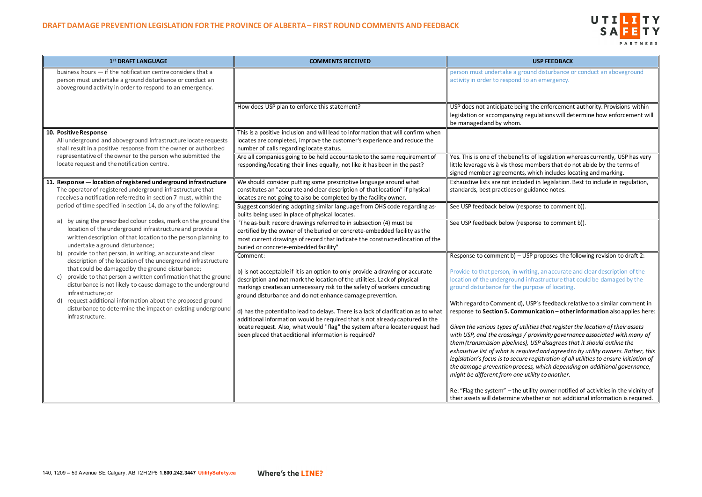# UTILITY **SA** PARTNERS

nd disturbance or conduct an aboveground an emergency.

the enforcement authority. Provisions within egulations will determine how enforcement will

of legislation whereas currently, USP has very lembers that do not abide by the terms of vhich includes locating and marking.

ed in legislation. Best to include in regulation, iidance notes.

onse to comment b)).

onse to comment b)).

P proposes the following revision to draft 2:

ing, an accurate and clear description of the if astructure that could be damaged by the rpose of locating.

SP's feedback relative to a similar comment in  $r$ **nication – other information** also applies here:

| 1st DRAFT LANGUAGE                                                                                                                                                                                                                  | <b>COMMENTS RECEIVED</b>                                                                                                                                                                                                                                                                          | <b>USP FEEDBACK</b>                                                                                                                                                                                                                                                                                                                                                 |
|-------------------------------------------------------------------------------------------------------------------------------------------------------------------------------------------------------------------------------------|---------------------------------------------------------------------------------------------------------------------------------------------------------------------------------------------------------------------------------------------------------------------------------------------------|---------------------------------------------------------------------------------------------------------------------------------------------------------------------------------------------------------------------------------------------------------------------------------------------------------------------------------------------------------------------|
| business hours $-$ if the notification centre considers that a<br>person must undertake a ground disturbance or conduct an<br>aboveground activity in order to respond to an emergency.                                             |                                                                                                                                                                                                                                                                                                   | person must undertake a ground disturbance<br>activity in order to respond to an emergency.                                                                                                                                                                                                                                                                         |
|                                                                                                                                                                                                                                     | How does USP plan to enforce this statement?                                                                                                                                                                                                                                                      | USP does not anticipate being the enforcemen<br>legislation or accompanying regulations will de<br>be managed and by whom.                                                                                                                                                                                                                                          |
| 10. Positive Response<br>All underground and aboveground infrastructure locate requests<br>shall result in a positive response from the owner or authorized                                                                         | This is a positive inclusion and will lead to information that will confirm when<br>locates are completed, improve the customer's experience and reduce the<br>number of calls regarding locate status.                                                                                           |                                                                                                                                                                                                                                                                                                                                                                     |
| representative of the owner to the person who submitted the<br>locate request and the notification centre.                                                                                                                          | Are all companies going to be held accountable to the same requirement of<br>responding/locating their lines equally, not like it has been in the past?                                                                                                                                           | Yes. This is one of the benefits of legislation wl<br>little leverage vis à vis those members that do<br>signed member agreements, which includes lo                                                                                                                                                                                                                |
| 11. Response - location of registered underground infrastructure<br>The operator of registered underground infrastructure that<br>receives a notification referred to in section 7 must, within the                                 | We should consider putting some prescriptive language around what<br>constitutes an "accurate and clear description of that location" if physical<br>locates are not going to also be completed by the facility owner.                                                                            | Exhaustive lists are not included in legislation.<br>standards, best practices or guidance notes.                                                                                                                                                                                                                                                                   |
| period of time specified in section 14, do any of the following:                                                                                                                                                                    | Suggest considering adopting similar language from OHS code regarding as-<br>builts being used in place of physical locates.                                                                                                                                                                      | See USP feedback below (response to commer                                                                                                                                                                                                                                                                                                                          |
| by using the prescribed colour codes, mark on the ground the<br>a)<br>location of the underground infrastructure and provide a<br>written description of that location to the person planning to<br>undertake a ground disturbance; | "The as-built record drawings referred to in subsection (4) must be<br>certified by the owner of the buried or concrete-embedded facility as the<br>most current drawings of record that indicate the constructed location of the<br>buried or concrete-embedded facility"                        | See USP feedback below (response to commer                                                                                                                                                                                                                                                                                                                          |
| provide to that person, in writing, an accurate and clear<br>b)<br>description of the location of the underground infrastructure                                                                                                    | Comment:                                                                                                                                                                                                                                                                                          | Response to comment b) - USP proposes the f                                                                                                                                                                                                                                                                                                                         |
| that could be damaged by the ground disturbance;<br>provide to that person a written confirmation that the ground<br>C)<br>disturbance is not likely to cause damage to the underground<br>infrastructure; or                       | b) is not acceptable if it is an option to only provide a drawing or accurate<br>description and not mark the location of the utilities. Lack of physical<br>markings creates an unnecessary risk to the safety of workers conducting<br>ground disturbance and do not enhance damage prevention. | Provide to that person, in writing, an accurate<br>location of the underground infrastructure tha<br>ground disturbance for the purpose of locating                                                                                                                                                                                                                 |
| request additional information about the proposed ground<br>d)<br>disturbance to determine the impact on existing underground<br>infrastructure.                                                                                    | d) has the potential to lead to delays. There is a lack of clarification as to what<br>additional information would be required that is not already captured in the                                                                                                                               | With regard to Comment d), USP's feedback re<br>response to Section 5. Communication - othe                                                                                                                                                                                                                                                                         |
|                                                                                                                                                                                                                                     | locate request. Also, what would "flag" the system after a locate request had<br>been placed that additional information is required?                                                                                                                                                             | Given the various types of utilities that register<br>with USP, and the crossings / proximity govern<br>them (transmission pipelines), USP disagrees tl<br>exhaustive list of what is required and agreed t<br>legislation's focus is to secure registration of a<br>the damage prevention process, which depend<br>might be different from one utility to another. |
|                                                                                                                                                                                                                                     |                                                                                                                                                                                                                                                                                                   | Re: "Flag the system" - the utility owner notifi<br>their assets will determine whether or not add                                                                                                                                                                                                                                                                  |

*Given the various types of utilities that register the location of their assets with USP, and the crossings / proximity governance associated with many of*  USP disagrees that it should outline the *exhaustive list of what is required and agreed to by utility owners. Rather, this legislation's focus is to secure registration of all utilities to ensure initiation of the damage prevention process, which depending on additional governance, might be different from one utility to another.*

lity owner notified of activities in the vicinity of ether or not additional information is required.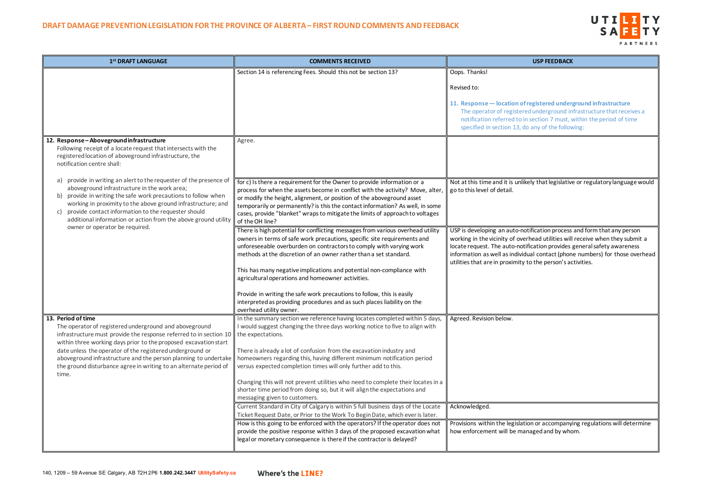

**12. Proport ending infrastructure** d underground infrastructure that receives a section 7 must, within the period of time any of the following:

ely that legislative or regulatory language would

tification process and form that any person rhead utilities will receive when they submit a fication provides general safety awareness ual contact (phone numbers) for those overhead to the person's activities.

on or accompanying regulations will determine haged and by whom.

| 1st DRAFT LANGUAGE                                                                                                                                                                                                                                                                                                                                 | <b>COMMENTS RECEIVED</b>                                                                                                                                                                                                                                                                                                                     | <b>USP FEEDBACK</b>                                                                                                                                                                                                                                             |
|----------------------------------------------------------------------------------------------------------------------------------------------------------------------------------------------------------------------------------------------------------------------------------------------------------------------------------------------------|----------------------------------------------------------------------------------------------------------------------------------------------------------------------------------------------------------------------------------------------------------------------------------------------------------------------------------------------|-----------------------------------------------------------------------------------------------------------------------------------------------------------------------------------------------------------------------------------------------------------------|
|                                                                                                                                                                                                                                                                                                                                                    | Section 14 is referencing Fees. Should this not be section 13?                                                                                                                                                                                                                                                                               | Oops. Thanks!                                                                                                                                                                                                                                                   |
|                                                                                                                                                                                                                                                                                                                                                    |                                                                                                                                                                                                                                                                                                                                              | Revised to:                                                                                                                                                                                                                                                     |
|                                                                                                                                                                                                                                                                                                                                                    |                                                                                                                                                                                                                                                                                                                                              | 11. Response - location of registered under<br>The operator of registered underground ir<br>notification referred to in section 7 must,<br>specified in section 13, do any of the follow                                                                        |
| 12. Response-Aboveground infrastructure                                                                                                                                                                                                                                                                                                            | Agree.                                                                                                                                                                                                                                                                                                                                       |                                                                                                                                                                                                                                                                 |
| Following receipt of a locate request that intersects with the<br>registered location of aboveground infrastructure, the<br>notification centre shall:                                                                                                                                                                                             |                                                                                                                                                                                                                                                                                                                                              |                                                                                                                                                                                                                                                                 |
| provide in writing an alert to the requester of the presence of<br>a)                                                                                                                                                                                                                                                                              | for c) Is there a requirement for the Owner to provide information or a                                                                                                                                                                                                                                                                      | Not at this time and it is unlikely that legislativ                                                                                                                                                                                                             |
| aboveground infrastructure in the work area;<br>provide in writing the safe work precautions to follow when<br>b)<br>working in proximity to the above ground infrastructure; and<br>provide contact information to the requester should<br>C)<br>additional information or action from the above ground utility<br>owner or operator be required. | process for when the assets become in conflict with the activity? Move, alter,<br>or modify the height, alignment, or position of the aboveground asset<br>temporarily or permanently? is this the contact information? As well, in some<br>cases, provide "blanket" wraps to mitigate the limits of approach to voltages<br>of the OH line? | go to this level of detail.                                                                                                                                                                                                                                     |
|                                                                                                                                                                                                                                                                                                                                                    | There is high potential for conflicting messages from various overhead utility<br>owners in terms of safe work precautions, specific site requirements and<br>unforeseeable overburden on contractors to comply with varying work<br>methods at the discretion of an owner rather than a set standard.                                       | USP is developing an auto-notification process<br>working in the vicinity of overhead utilities will<br>locate request. The auto-notification provides<br>information as well as individual contact (phon<br>utilities that are in proximity to the person's ad |
|                                                                                                                                                                                                                                                                                                                                                    | This has many negative implications and potential non-compliance with<br>agricultural operations and homeowner activities.                                                                                                                                                                                                                   |                                                                                                                                                                                                                                                                 |
|                                                                                                                                                                                                                                                                                                                                                    | Provide in writing the safe work precautions to follow, this is easily                                                                                                                                                                                                                                                                       |                                                                                                                                                                                                                                                                 |
|                                                                                                                                                                                                                                                                                                                                                    | interpreted as providing procedures and as such places liability on the<br>overhead utility owner.                                                                                                                                                                                                                                           |                                                                                                                                                                                                                                                                 |
| 13. Period of time<br>The operator of registered underground and aboveground<br>infrastructure must provide the response referred to in section 10<br>within three working days prior to the proposed excavation start                                                                                                                             | In the summary section we reference having locates completed within 5 days,<br>I would suggest changing the three days working notice to five to align with<br>the expectations.                                                                                                                                                             | Agreed. Revision below.                                                                                                                                                                                                                                         |
| date unless the operator of the registered underground or<br>aboveground infrastructure and the person planning to undertake<br>the ground disturbance agree in writing to an alternate period of<br>time.                                                                                                                                         | There is already a lot of confusion from the excavation industry and<br>homeowners regarding this, having different minimum notification period<br>versus expected completion times will only further add to this.                                                                                                                           |                                                                                                                                                                                                                                                                 |
|                                                                                                                                                                                                                                                                                                                                                    | Changing this will not prevent utilities who need to complete their locates in a<br>shorter time period from doing so, but it will align the expectations and<br>messaging given to customers.                                                                                                                                               |                                                                                                                                                                                                                                                                 |
|                                                                                                                                                                                                                                                                                                                                                    | Current Standard in City of Calgary is within 5 full business days of the Locate<br>Ticket Request Date, or Prior to the Work To Begin Date, which ever is later.                                                                                                                                                                            | Acknowledged.                                                                                                                                                                                                                                                   |
|                                                                                                                                                                                                                                                                                                                                                    | How is this going to be enforced with the operators? If the operator does not<br>provide the positive response within 3 days of the proposed excavation what<br>legal or monetary consequence is there if the contractor is delayed?                                                                                                         | Provisions within the legislation or accompany<br>how enforcement will be managed and by who                                                                                                                                                                    |
|                                                                                                                                                                                                                                                                                                                                                    |                                                                                                                                                                                                                                                                                                                                              |                                                                                                                                                                                                                                                                 |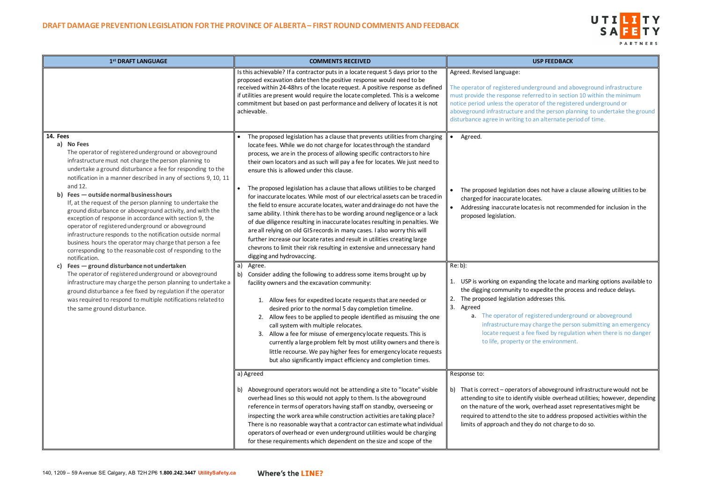## UTILITY **SA** PARTNERS

derground and aboveground infrastructure erred to in section 10 within the minimum ntor of the registered underground or ad the person planning to undertake the ground an alternate period of time.

- loes not have a clause allowing utilities to be ates.
- ates is not recommended for inclusion in the

ing the locate and marking options available to expedite the process and reduce delays. ddresses this.

gistered underground or aboveground *i* charge the person submitting an emergency ee fixed by regulation when there is no danger the environment.

s of aboveground infrastructure would not be y visible overhead utilities; however, depending , overhead asset representatives might be site to address proposed activities within the y do not charge to do so.

| 1st DRAFT LANGUAGE                                                                                                                                                                                                                                                                                                                                                                                                                                                                                                                                                                                                                                                                                                                                                                                                                                                                                                                                                                                                                                                                                                                  | <b>COMMENTS RECEIVED</b>                                                                                                                                                                                                                                                                                                                                                                                                                                                                                                                                                                                                                                                                                                                                                                                                                                                                                                                                                                                                                                                                                                                                                                                                                                                                                                                                                                                                                                                                                                                                                                                                                                                                               | <b>USP FEEDBACK</b>                                                                                                                                                                                                                                                                                                                                                                                                                                                                                   |
|-------------------------------------------------------------------------------------------------------------------------------------------------------------------------------------------------------------------------------------------------------------------------------------------------------------------------------------------------------------------------------------------------------------------------------------------------------------------------------------------------------------------------------------------------------------------------------------------------------------------------------------------------------------------------------------------------------------------------------------------------------------------------------------------------------------------------------------------------------------------------------------------------------------------------------------------------------------------------------------------------------------------------------------------------------------------------------------------------------------------------------------|--------------------------------------------------------------------------------------------------------------------------------------------------------------------------------------------------------------------------------------------------------------------------------------------------------------------------------------------------------------------------------------------------------------------------------------------------------------------------------------------------------------------------------------------------------------------------------------------------------------------------------------------------------------------------------------------------------------------------------------------------------------------------------------------------------------------------------------------------------------------------------------------------------------------------------------------------------------------------------------------------------------------------------------------------------------------------------------------------------------------------------------------------------------------------------------------------------------------------------------------------------------------------------------------------------------------------------------------------------------------------------------------------------------------------------------------------------------------------------------------------------------------------------------------------------------------------------------------------------------------------------------------------------------------------------------------------------|-------------------------------------------------------------------------------------------------------------------------------------------------------------------------------------------------------------------------------------------------------------------------------------------------------------------------------------------------------------------------------------------------------------------------------------------------------------------------------------------------------|
|                                                                                                                                                                                                                                                                                                                                                                                                                                                                                                                                                                                                                                                                                                                                                                                                                                                                                                                                                                                                                                                                                                                                     | Is this achievable? If a contractor puts in a locate request 5 days prior to the<br>proposed excavation date then the positive response would need to be<br>received within 24-48hrs of the locate request. A positive response as defined<br>if utilities are present would require the locate completed. This is a welcome<br>commitment but based on past performance and delivery of locates it is not<br>achievable.                                                                                                                                                                                                                                                                                                                                                                                                                                                                                                                                                                                                                                                                                                                                                                                                                                                                                                                                                                                                                                                                                                                                                                                                                                                                              | Agreed. Revised language:<br>The operator of registered underground and a<br>must provide the response referred to in section<br>notice period unless the operator of the regist<br>aboveground infrastructure and the person pla<br>disturbance agree in writing to an alternate pe                                                                                                                                                                                                                  |
| <b>14. Fees</b><br>a) No Fees<br>The operator of registered underground or aboveground<br>infrastructure must not charge the person planning to<br>undertake a ground disturbance a fee for responding to the<br>notification in a manner described in any of sections 9, 10, 11<br>and 12.<br>b) Fees - outside normal business hours<br>If, at the request of the person planning to undertake the<br>ground disturbance or aboveground activity, and with the<br>exception of response in accordance with section 9, the<br>operator of registered underground or aboveground<br>infrastructure responds to the notification outside normal<br>business hours the operator may charge that person a fee<br>corresponding to the reasonable cost of responding to the<br>notification.<br>Fees - ground disturbance not undertaken<br>c)<br>The operator of registered underground or aboveground<br>infrastructure may charge the person planning to undertake a<br>ground disturbance a fee fixed by regulation if the operator<br>was required to respond to multiple notifications related to<br>the same ground disturbance. | The proposed legislation has a clause that prevents utilities from charging<br>locate fees. While we do not charge for locates through the standard<br>process, we are in the process of allowing specific contractors to hire<br>their own locators and as such will pay a fee for locates. We just need to<br>ensure this is allowed under this clause.<br>The proposed legislation has a clause that allows utilities to be charged<br>for inaccurate locates. While most of our electrical assets can be traced in<br>the field to ensure accurate locates, water and drainage do not have the<br>same ability. I think there has to be wording around negligence or a lack<br>of due diligence resulting in inaccurate locates resulting in penalties. We<br>are all relying on old GIS records in many cases. I also worry this will<br>further increase our locate rates and result in utilities creating large<br>chevrons to limit their risk resulting in extensive and unnecessary hand<br>digging and hydrovaccing.<br>Agree.<br>a<br>Consider adding the following to address some items brought up by<br>b)<br>facility owners and the excavation community:<br>1. Allow fees for expedited locate requests that are needed or<br>desired prior to the normal 5 day completion timeline.<br>2. Allow fees to be applied to people identified as misusing the one<br>call system with multiple relocates.<br>3. Allow a fee for misuse of emergency locate requests. This is<br>currently a large problem felt by most utility owners and there is<br>little recourse. We pay higher fees for emergency locate requests<br>but also significantly impact efficiency and completion times. | Agreed.<br>The proposed legislation does not have a d<br>charged for inaccurate locates.<br>Addressing inaccurate locates is not recom<br>proposed legislation.<br>$Re: b)$ :<br>1. USP is working on expanding the locate an<br>the digging community to expedite the pro<br>The proposed legislation addresses this.<br>2.<br>3. Agreed<br>a. The operator of registered underg<br>infrastructure may charge the pers<br>locate request a fee fixed by regul<br>to life, property or the environmer |
|                                                                                                                                                                                                                                                                                                                                                                                                                                                                                                                                                                                                                                                                                                                                                                                                                                                                                                                                                                                                                                                                                                                                     | a) Agreed<br>Aboveground operators would not be attending a site to "locate" visible<br>b)<br>overhead lines so this would not apply to them. Is the aboveground<br>reference in terms of operators having staff on standby, overseeing or<br>inspecting the work area while construction activities are taking place?<br>There is no reasonable way that a contractor can estimate what individual<br>operators of overhead or even underground utilities would be charging<br>for these requirements which dependent on the size and scope of the                                                                                                                                                                                                                                                                                                                                                                                                                                                                                                                                                                                                                                                                                                                                                                                                                                                                                                                                                                                                                                                                                                                                                    | Response to:<br>b) That is correct - operators of aboveground<br>attending to site to identify visible overhea<br>on the nature of the work, overhead asset<br>required to attend to the site to address p<br>limits of approach and they do not charge                                                                                                                                                                                                                                               |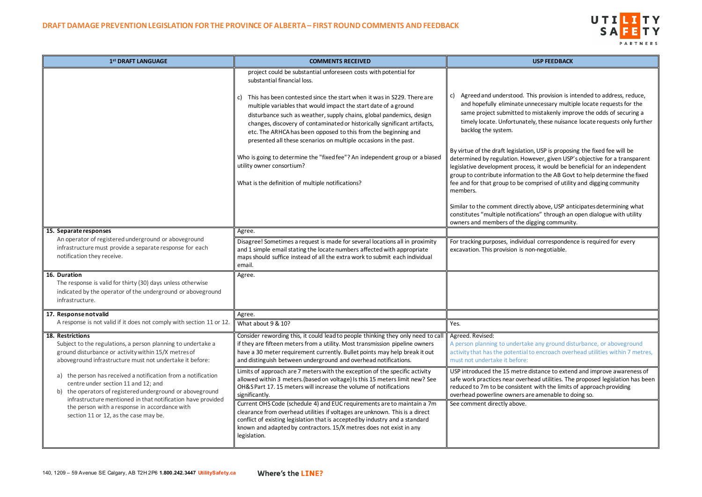## UTILITY **SA** PARTNERS

his provision is intended to address, reduce, ane assary multiple locate requests for the samistakenly improve the odds of securing a ely, these nuisance locate requests only further

on, USP is proposing the fixed fee will be wever, given USP's objective for a transparent less, it would be beneficial for an independent on to the AB Govt to help determine the fixed omprised of utility and digging community

tly above, USP anticipates determining what ions" through an open dialogue with utility ligging community.

ual correspondence is required for every on-negotiable.

ke any ground disturbance, or aboveground to encroach overhead utilities within 7 metres,

distance to extend and improve awareness of head utilities. The proposed legislation has been nt with the limits of approach providing re amenable to doing so.

| 1 <sup>st</sup> DRAFT LANGUAGE                                                                                                                                                                                                                                                                                                | <b>COMMENTS RECEIVED</b>                                                                                                                                                                                                                                                                                                                                                                                                                                                                                                                                                          | <b>USP FEEDBACK</b>                                                                                                                                                                                                                                                  |
|-------------------------------------------------------------------------------------------------------------------------------------------------------------------------------------------------------------------------------------------------------------------------------------------------------------------------------|-----------------------------------------------------------------------------------------------------------------------------------------------------------------------------------------------------------------------------------------------------------------------------------------------------------------------------------------------------------------------------------------------------------------------------------------------------------------------------------------------------------------------------------------------------------------------------------|----------------------------------------------------------------------------------------------------------------------------------------------------------------------------------------------------------------------------------------------------------------------|
|                                                                                                                                                                                                                                                                                                                               | project could be substantial unforeseen costs with potential for<br>substantial financial loss.                                                                                                                                                                                                                                                                                                                                                                                                                                                                                   |                                                                                                                                                                                                                                                                      |
|                                                                                                                                                                                                                                                                                                                               | This has been contested since the start when it was in S229. There are<br>C)<br>multiple variables that would impact the start date of a ground<br>disturbance such as weather, supply chains, global pandemics, design<br>changes, discovery of contaminated or historically significant artifacts,<br>etc. The ARHCA has been opposed to this from the beginning and<br>presented all these scenarios on multiple occasions in the past.                                                                                                                                        | c) Agreed and understood. This provision is in<br>and hopefully eliminate unnecessary multi<br>same project submitted to mistakenly imp<br>timely locate. Unfortunately, these nuisan<br>backlog the system.                                                         |
|                                                                                                                                                                                                                                                                                                                               | Who is going to determine the "fixed fee"? An independent group or a biased<br>utility owner consortium?<br>What is the definition of multiple notifications?                                                                                                                                                                                                                                                                                                                                                                                                                     | By virtue of the draft legislation, USP is propos<br>determined by regulation. However, given USF<br>legislative development process, it would be b<br>group to contribute information to the AB Gov<br>fee and for that group to be comprised of utilit<br>members. |
|                                                                                                                                                                                                                                                                                                                               |                                                                                                                                                                                                                                                                                                                                                                                                                                                                                                                                                                                   | Similar to the comment directly above, USP an<br>constitutes "multiple notifications" through ar<br>owners and members of the digging communit                                                                                                                       |
| 15. Separate responses                                                                                                                                                                                                                                                                                                        | Agree.                                                                                                                                                                                                                                                                                                                                                                                                                                                                                                                                                                            |                                                                                                                                                                                                                                                                      |
| An operator of registered underground or aboveground<br>infrastructure must provide a separate response for each<br>notification they receive.                                                                                                                                                                                | Disagree! Sometimes a request is made for several locations all in proximity<br>and 1 simple email stating the locate numbers affected with appropriate<br>maps should suffice instead of all the extra work to submit each individual<br>email.                                                                                                                                                                                                                                                                                                                                  | For tracking purposes, individual corresponder<br>excavation. This provision is non-negotiable.                                                                                                                                                                      |
| 16. Duration<br>The response is valid for thirty (30) days unless otherwise<br>indicated by the operator of the underground or aboveground<br>infrastructure.                                                                                                                                                                 | Agree.                                                                                                                                                                                                                                                                                                                                                                                                                                                                                                                                                                            |                                                                                                                                                                                                                                                                      |
| 17. Response not valid                                                                                                                                                                                                                                                                                                        | Agree.                                                                                                                                                                                                                                                                                                                                                                                                                                                                                                                                                                            |                                                                                                                                                                                                                                                                      |
| A response is not valid if it does not comply with section 11 or 12.                                                                                                                                                                                                                                                          | What about 9 & 10?                                                                                                                                                                                                                                                                                                                                                                                                                                                                                                                                                                | Yes.                                                                                                                                                                                                                                                                 |
| 18. Restrictions<br>Subject to the regulations, a person planning to undertake a<br>ground disturbance or activity within 15/X metres of<br>aboveground infrastructure must not undertake it before:                                                                                                                          | Consider rewording this, it could lead to people thinking they only need to call<br>if they are fifteen meters from a utility. Most transmission pipeline owners<br>have a 30 meter requirement currently. Bullet points may help break it out<br>and distinguish between underground and overhead notifications.                                                                                                                                                                                                                                                                 | Agreed. Revised:<br>A person planning to undertake any ground dis<br>activity that has the potential to encroach over<br>must not undertake it before:                                                                                                               |
| the person has received a notification from a notification<br>a)<br>centre under section 11 and 12; and<br>b) the operators of registered underground or aboveground<br>infrastructure mentioned in that notification have provided<br>the person with a response in accordance with<br>section 11 or 12, as the case may be. | Limits of approach are 7 meters with the exception of the specific activity<br>allowed within 3 meters. (based on voltage) Is this 15 meters limit new? See<br>OH&SPart 17.15 meters will increase the volume of notifications<br>significantly.<br>Current OHS Code (schedule 4) and EUC requirements are to maintain a 7m<br>clearance from overhead utilities if voltages are unknown. This is a direct<br>conflict of existing legislation that is accepted by industry and a standard<br>known and adapted by contractors. 15/X metres does not exist in any<br>legislation. | USP introduced the 15 metre distance to exter<br>safe work practices near overhead utilities. The<br>reduced to 7m to be consistent with the limits<br>overhead powerline owners are amenable to o<br>See comment directly above.                                    |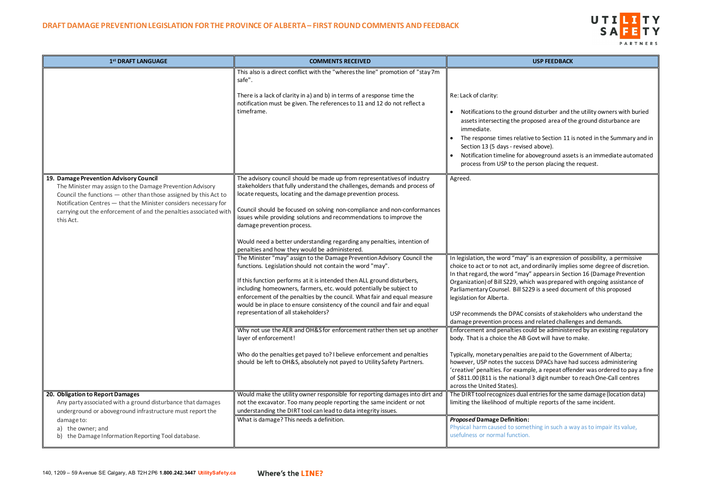## UTILITY **SA** PARTNERS

disturber and the utility owners with buried posed area of the ground disturbance are

e to Section 11 is noted in the Summary and in above).

boveground assets is an immediate automated erson placing the request.

is an expression of possibility, a permissive dordinarily implies some degree of discretion. In that regards in Section 16 (Damage Prevention ch was prepared with ongoing assistance of 29 is a seed document of this proposed

onsists of stakeholders who understand the d related challenges and demands.

uld be administered by an existing regulatory Govt will have to make.

are paid to the Government of Alberta; ss DPACs have had success administering ble, a repeat offender was ordered to pay a fine 13 digit number to reach One-Call centres

entries for the same damage (location data) ple reports of the same incident.

thing in such a way as to impair its value,

| 1 <sup>st</sup> DRAFT LANGUAGE                                                                                                                                                                                                                                                                                                | <b>COMMENTS RECEIVED</b>                                                                                                                                                                                                                                                                                                                                                                                                                                                                                                                                                                                                                                                                                                                                                                                                                                                                                                                                                                                                                                                                                                        | <b>USP FEEDBACK</b>                                                                                                                                                                                                                                                                                                                                                                                                                                                                                  |
|-------------------------------------------------------------------------------------------------------------------------------------------------------------------------------------------------------------------------------------------------------------------------------------------------------------------------------|---------------------------------------------------------------------------------------------------------------------------------------------------------------------------------------------------------------------------------------------------------------------------------------------------------------------------------------------------------------------------------------------------------------------------------------------------------------------------------------------------------------------------------------------------------------------------------------------------------------------------------------------------------------------------------------------------------------------------------------------------------------------------------------------------------------------------------------------------------------------------------------------------------------------------------------------------------------------------------------------------------------------------------------------------------------------------------------------------------------------------------|------------------------------------------------------------------------------------------------------------------------------------------------------------------------------------------------------------------------------------------------------------------------------------------------------------------------------------------------------------------------------------------------------------------------------------------------------------------------------------------------------|
|                                                                                                                                                                                                                                                                                                                               | This also is a direct conflict with the "wheres the line" promotion of "stay 7m<br>safe".<br>There is a lack of clarity in a) and b) in terms of a response time the<br>notification must be given. The references to 11 and 12 do not reflect a<br>timeframe.                                                                                                                                                                                                                                                                                                                                                                                                                                                                                                                                                                                                                                                                                                                                                                                                                                                                  | Re: Lack of clarity:<br>Notifications to the ground disturber and t<br>assets intersecting the proposed area of th<br>immediate.<br>The response times relative to Section 11<br>Section 13 (5 days - revised above).<br>Notification timeline for aboveground asse<br>process from USP to the person placing the                                                                                                                                                                                    |
| 19. Damage Prevention Advisory Council<br>The Minister may assign to the Damage Prevention Advisory<br>Council the functions - other than those assigned by this Act to<br>Notification Centres - that the Minister considers necessary for<br>carrying out the enforcement of and the penalties associated with<br>this Act. | The advisory council should be made up from representatives of industry<br>stakeholders that fully understand the challenges, demands and process of<br>locate requests, locating and the damage prevention process.<br>Council should be focused on solving non-compliance and non-conformances<br>issues while providing solutions and recommendations to improve the<br>damage prevention process.<br>Would need a better understanding regarding any penalties, intention of<br>penalties and how they would be administered.<br>The Minister "may" assign to the Damage Prevention Advisory Council the<br>functions. Legislation should not contain the word "may".<br>If this function performs at it is intended then ALL ground disturbers,<br>including homeowners, farmers, etc. would potentially be subject to<br>enforcement of the penalties by the council. What fair and equal measure<br>would be in place to ensure consistency of the council and fair and equal<br>representation of all stakeholders?<br>Why not use the AER and OH&S for enforcement rather then set up another<br>layer of enforcement! | Agreed.<br>In legislation, the word "may" is an expression<br>choice to act or to not act, and ordinarily impli<br>In that regard, the word "may" appears in Sect<br>Organization) of Bill S229, which was prepared<br>Parliamentary Counsel. Bill S229 is a seed docu<br>legislation for Alberta.<br>USP recommends the DPAC consists of stakeho<br>damage prevention process and related challe<br>Enforcement and penalties could be administe<br>body. That is a choice the AB Govt will have to |
|                                                                                                                                                                                                                                                                                                                               | Who do the penalties get payed to? I believe enforcement and penalties<br>should be left to OH&S, absolutely not payed to Utility Safety Partners.                                                                                                                                                                                                                                                                                                                                                                                                                                                                                                                                                                                                                                                                                                                                                                                                                                                                                                                                                                              | Typically, monetary penalties are paid to the G<br>however, USP notes the success DPACs have h<br>'creative' penalties. For example, a repeat offe<br>of \$811.00 (811 is the national 3 digit number<br>across the United States).                                                                                                                                                                                                                                                                  |
| 20. Obligation to Report Damages<br>Any party associated with a ground disturbance that damages<br>underground or aboveground infrastructure must report the<br>damage to:<br>a) the owner; and<br>b) the Damage Information Reporting Tool database.                                                                         | Would make the utility owner responsible for reporting damages into dirt and<br>not the excavator. Too many people reporting the same incident or not<br>understanding the DIRT tool can lead to data integrity issues.<br>What is damage? This needs a definition.                                                                                                                                                                                                                                                                                                                                                                                                                                                                                                                                                                                                                                                                                                                                                                                                                                                             | The DIRT tool recognizes dual entries for the sa<br>limiting the likelihood of multiple reports of th<br><b>Proposed Damage Definition:</b><br>Physical harm caused to something in such a w<br>usefulness or normal function.                                                                                                                                                                                                                                                                       |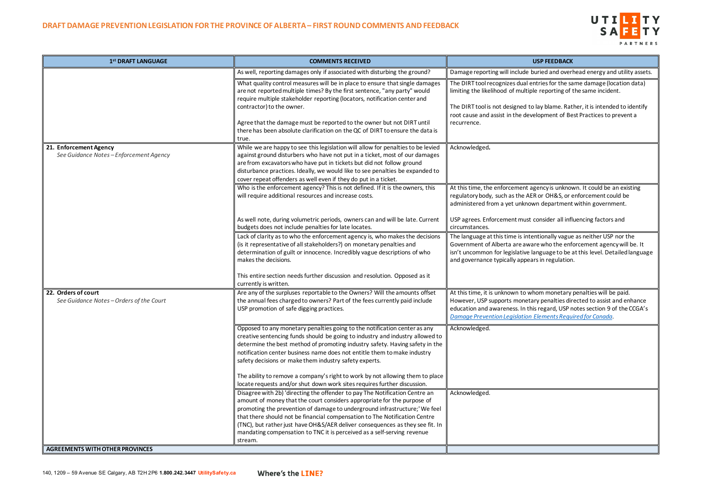# UTILITY SAFETY PARTNERS

buried and overhead energy and utility assets.

entries for the same damage (location data) iple reporting of the same incident.

to lay blame. Rather, it is intended to identify velopment of Best Practices to prevent a

agency is unknown. It could be an existing RER or OH&S, or enforcement could be bwn department within government.

consider all influencing factors and

tentionally vague as neither USP nor the ware who the enforcement agency will be. It language to be at this level. Detailed language ears in regulation.

whom monetary penalties will be paid. tary penalties directed to assist and enhance his regard, USP notes section 9 of the CCGA's *[Damage Prevention Legislation Elements Required for Canada](https://canadiancga.com/Resources/News%20Items/CCGA%20White%20Paper%20-%20English.pdf)*.

| 1st DRAFT LANGUAGE                                              | <b>COMMENTS RECEIVED</b>                                                                                                                                                                                                                                                                                                                                                                                                                                                                                                                                              | <b>USP FEEDBACK</b>                                                                                                                                                                                                      |
|-----------------------------------------------------------------|-----------------------------------------------------------------------------------------------------------------------------------------------------------------------------------------------------------------------------------------------------------------------------------------------------------------------------------------------------------------------------------------------------------------------------------------------------------------------------------------------------------------------------------------------------------------------|--------------------------------------------------------------------------------------------------------------------------------------------------------------------------------------------------------------------------|
|                                                                 | As well, reporting damages only if associated with disturbing the ground?                                                                                                                                                                                                                                                                                                                                                                                                                                                                                             | Damage reporting will include buried and over                                                                                                                                                                            |
|                                                                 | What quality control measures will be in place to ensure that single damages<br>are not reported multiple times? By the first sentence, "any party" would<br>require multiple stakeholder reporting (locators, notification center and<br>contractor) to the owner.<br>Agree that the damage must be reported to the owner but not DIRT until<br>there has been absolute clarification on the QC of DIRT to ensure the data is<br>true.                                                                                                                               | The DIRT tool recognizes dual entries for the sa<br>limiting the likelihood of multiple reporting of<br>The DIRT tool is not designed to lay blame. Rat<br>root cause and assist in the development of Be<br>recurrence. |
| 21. Enforcement Agency<br>See Guidance Notes-Enforcement Agency | While we are happy to see this legislation will allow for penalties to be levied<br>against ground disturbers who have not put in a ticket, most of our damages<br>are from excavators who have put in tickets but did not follow ground<br>disturbance practices. Ideally, we would like to see penalties be expanded to<br>cover repeat offenders as well even if they do put in a ticket.                                                                                                                                                                          | Acknowledged.                                                                                                                                                                                                            |
|                                                                 | Who is the enforcement agency? This is not defined. If it is the owners, this<br>will require additional resources and increase costs.                                                                                                                                                                                                                                                                                                                                                                                                                                | At this time, the enforcement agency is unknow<br>regulatory body, such as the AER or OH&S, or<br>administered from a yet unknown department                                                                             |
|                                                                 | As well note, during volumetric periods, owners can and will be late. Current<br>budgets does not include penalties for late locates.                                                                                                                                                                                                                                                                                                                                                                                                                                 | USP agrees. Enforcement must consider all infl<br>circumstances.                                                                                                                                                         |
|                                                                 | Lack of clarity as to who the enforcement agency is, who makes the decisions<br>(is it representative of all stakeholders?) on monetary penalties and<br>determination of guilt or innocence. Incredibly vague descriptions of who<br>makes the decisions.                                                                                                                                                                                                                                                                                                            | The language at this time is intentionally vague<br>Government of Alberta are aware who the enf<br>isn't uncommon for legislative language to be<br>and governance typically appears in regulation                       |
|                                                                 | This entire section needs further discussion and resolution. Opposed as it<br>currently is written.                                                                                                                                                                                                                                                                                                                                                                                                                                                                   |                                                                                                                                                                                                                          |
| 22. Orders of court<br>See Guidance Notes-Orders of the Court   | Are any of the surpluses reportable to the Owners? Will the amounts offset<br>the annual fees charged to owners? Part of the fees currently paid include<br>USP promotion of safe digging practices.                                                                                                                                                                                                                                                                                                                                                                  | At this time, it is unknown to whom monetary<br>However, USP supports monetary penalties direct<br>education and awareness. In this regard, USP r<br><b>Damage Prevention Legislation Elements Requ</b>                  |
|                                                                 | Opposed to any monetary penalties going to the notification center as any<br>creative sentencing funds should be going to industry and industry allowed to<br>determine the best method of promoting industry safety. Having safety in the<br>notification center business name does not entitle them to make industry<br>safety decisions or make them industry safety experts.<br>The ability to remove a company's right to work by not allowing them to place                                                                                                     | Acknowledged.                                                                                                                                                                                                            |
|                                                                 | locate requests and/or shut down work sites requires further discussion.<br>Disagree with 2b) 'directing the offender to pay The Notification Centre an<br>amount of money that the court considers appropriate for the purpose of<br>promoting the prevention of damage to underground infrastructure;' We feel<br>that there should not be financial compensation to The Notification Centre<br>(TNC), but rather just have OH&S/AER deliver consequences as they see fit. In<br>mandating compensation to TNC it is perceived as a self-serving revenue<br>stream. | Acknowledged.                                                                                                                                                                                                            |
| <b>AGREEMENTS WITH OTHER PROVINCES</b>                          |                                                                                                                                                                                                                                                                                                                                                                                                                                                                                                                                                                       |                                                                                                                                                                                                                          |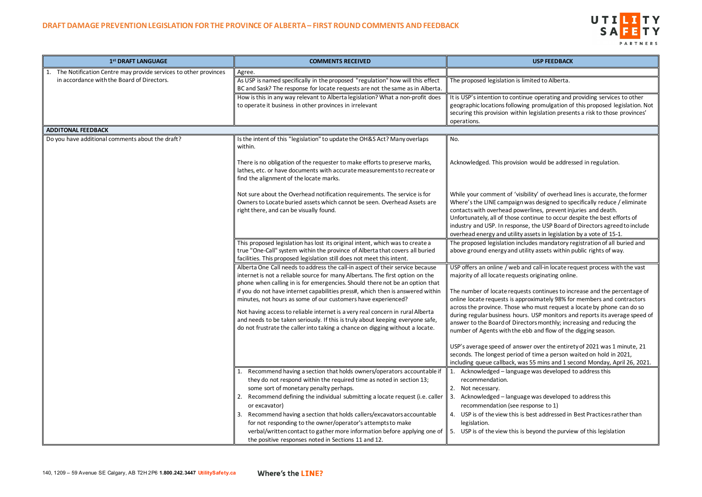## UTILITY **SA** PARTNERS

e operating and providing services to other promulgation of this proposed legislation. Not legislation presents a risk to those provinces'

would be addressed in regulation.

lity' of overhead lines is accurate, the former as designed to specifically reduce / eliminate lines, prevent injuries and death. tinue to occur despite the best efforts of the USP Board of Directors agreed to include sets in legislation by a vote of 15-1.

des mandatory registration of all buried and ty assets within public rights of way.

I call-in locate request process with the vast originating online.

continues to increase and the percentage of oximately 98% for members and contractors o must request a locate by phone can do so USP monitors and reports its average speed of ors monthly; increasing and reducing the b and flow of the digging season.

r over the entirety of 2021 was 1 minute, 21 time a person waited on hold in 2021, 55 mins and 1 second Monday, April 26, 2021. was developed to address this

was developed to address this oonse to 1) est addressed in Best Practices rather than

eyond the purview of this legislation

| 1st DRAFT LANGUAGE                                              | <b>COMMENTS RECEIVED</b>                                                                                                                                                                                                                                                                                                                                                                                                                                                                                                                                                                                                                               | <b>USP FEEDBACK</b>                                                                                                                                                                                                                                                                                                                                                                                                                           |
|-----------------------------------------------------------------|--------------------------------------------------------------------------------------------------------------------------------------------------------------------------------------------------------------------------------------------------------------------------------------------------------------------------------------------------------------------------------------------------------------------------------------------------------------------------------------------------------------------------------------------------------------------------------------------------------------------------------------------------------|-----------------------------------------------------------------------------------------------------------------------------------------------------------------------------------------------------------------------------------------------------------------------------------------------------------------------------------------------------------------------------------------------------------------------------------------------|
| The Notification Centre may provide services to other provinces | Agree.                                                                                                                                                                                                                                                                                                                                                                                                                                                                                                                                                                                                                                                 |                                                                                                                                                                                                                                                                                                                                                                                                                                               |
| in accordance with the Board of Directors.                      | As USP is named specifically in the proposed "regulation" how will this effect<br>BC and Sask? The response for locate requests are not the same as in Alberta.                                                                                                                                                                                                                                                                                                                                                                                                                                                                                        | The proposed legislation is limited to Alberta.                                                                                                                                                                                                                                                                                                                                                                                               |
|                                                                 | How is this in any way relevant to Alberta legislation? What a non-profit does<br>to operate it business in other provinces in irrelevant                                                                                                                                                                                                                                                                                                                                                                                                                                                                                                              | It is USP's intention to continue operating and<br>geographic locations following promulgation o<br>securing this provision within legislation prese<br>operations.                                                                                                                                                                                                                                                                           |
| <b>ADDITONAL FEEDBACK</b>                                       |                                                                                                                                                                                                                                                                                                                                                                                                                                                                                                                                                                                                                                                        |                                                                                                                                                                                                                                                                                                                                                                                                                                               |
| Do you have additional comments about the draft?                | Is the intent of this "legislation" to update the OH&S Act? Many overlaps<br>within.<br>There is no obligation of the requester to make efforts to preserve marks,<br>lathes, etc. or have documents with accurate measurements to recreate or<br>find the alignment of the locate marks.                                                                                                                                                                                                                                                                                                                                                              | No.<br>Acknowledged. This provision would be addres                                                                                                                                                                                                                                                                                                                                                                                           |
|                                                                 | Not sure about the Overhead notification requirements. The service is for<br>Owners to Locate buried assets which cannot be seen. Overhead Assets are<br>right there, and can be visually found.                                                                                                                                                                                                                                                                                                                                                                                                                                                       | While your comment of 'visibility' of overhead<br>Where's the LINE campaign was designed to sp<br>contacts with overhead powerlines, prevent in<br>Unfortunately, all of those continue to occur d<br>industry and USP. In response, the USP Board<br>overhead energy and utility assets in legislatio                                                                                                                                        |
|                                                                 | This proposed legislation has lost its original intent, which was to create a<br>true "One-Call" system within the province of Alberta that covers all buried<br>facilities. This proposed legislation still does not meet this intent.                                                                                                                                                                                                                                                                                                                                                                                                                | The proposed legislation includes mandatory r<br>above ground energy and utility assets within                                                                                                                                                                                                                                                                                                                                                |
|                                                                 | Alberta One Call needs to address the call-in aspect of their service because<br>internet is not a reliable source for many Albertans. The first option on the<br>phone when calling in is for emergencies. Should there not be an option that<br>if you do not have internet capabilities press#, which then is answered within<br>minutes, not hours as some of our customers have experienced?<br>Not having access to reliable internet is a very real concern in rural Alberta<br>and needs to be taken seriously. If this is truly about keeping everyone safe,<br>do not frustrate the caller into taking a chance on digging without a locate. | USP offers an online / web and call-in locate re<br>majority of all locate requests originating onlin<br>The number of locate requests continues to in<br>online locate requests is approximately 98% fo<br>across the province. Those who must request a<br>during regular business hours. USP monitors a<br>answer to the Board of Directors monthly; incr<br>number of Agents with the ebb and flow of the                                 |
|                                                                 | Recommend having a section that holds owners/operators accountable if<br>they do not respond within the required time as noted in section 13;<br>some sort of monetary penalty perhaps.<br>2. Recommend defining the individual submitting a locate request (i.e. caller<br>or excavator)<br>Recommend having a section that holds callers/excavators accountable<br>3.<br>for not responding to the owner/operator's attempts to make<br>verbal/written contact to gather more information before applying one of<br>the positive responses noted in Sections 11 and 12.                                                                              | USP's average speed of answer over the entire<br>seconds. The longest period of time a person v<br>including queue callback, was 55 mins and 1 se<br>1. Acknowledged - language was developed<br>recommendation.<br>2. Not necessary.<br>3. Acknowledged - language was developed<br>recommendation (see response to 1)<br>4. USP is of the view this is best addressed in<br>legislation.<br>5. USP is of the view this is beyond the purvie |